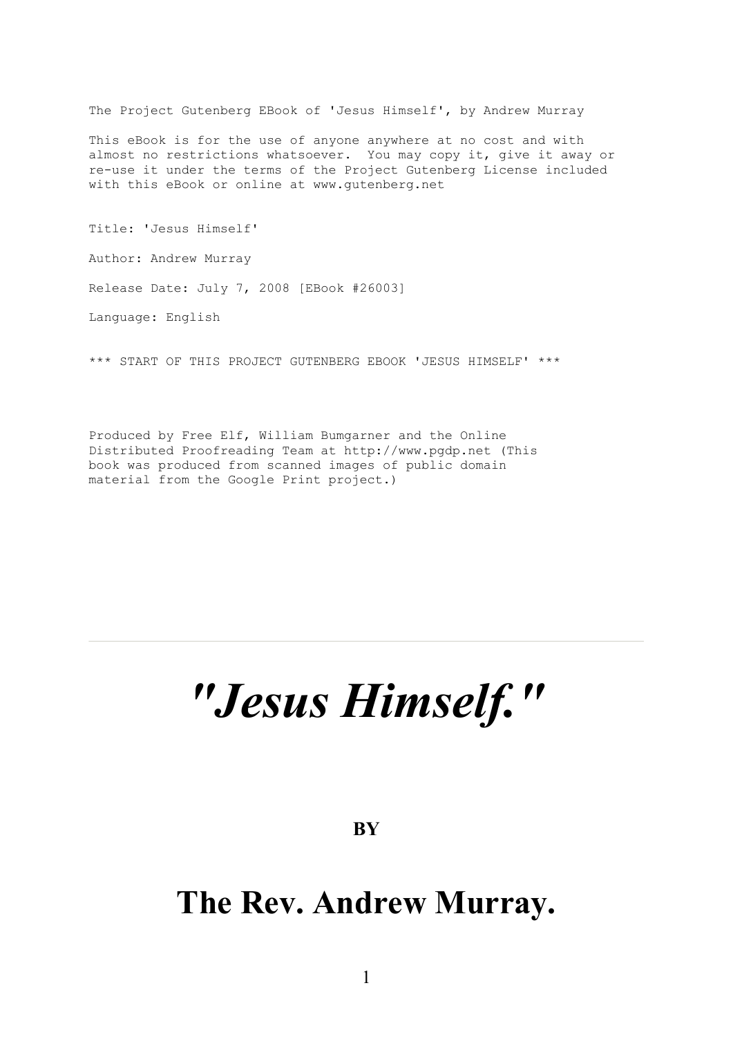The Project Gutenberg EBook of 'Jesus Himself', by Andrew Murray

This eBook is for the use of anyone anywhere at no cost and with almost no restrictions whatsoever. You may copy it, give it away or re-use it under the terms of the Project Gutenberg License included with this eBook or online at www.gutenberg.net

Title: 'Jesus Himself' Author: Andrew Murray Release Date: July 7, 2008 [EBook #26003] Language: English

\*\*\* START OF THIS PROJECT GUTENBERG EBOOK 'JESUS HIMSELF' \*\*\*

Produced by Free Elf, William Bumgarner and the Online Distributed Proofreading Team at http://www.pgdp.net (This book was produced from scanned images of public domain material from the Google Print project.)

# *"Jesus Himself. "*

**BY**

# **The Rev. Andrew Murray.**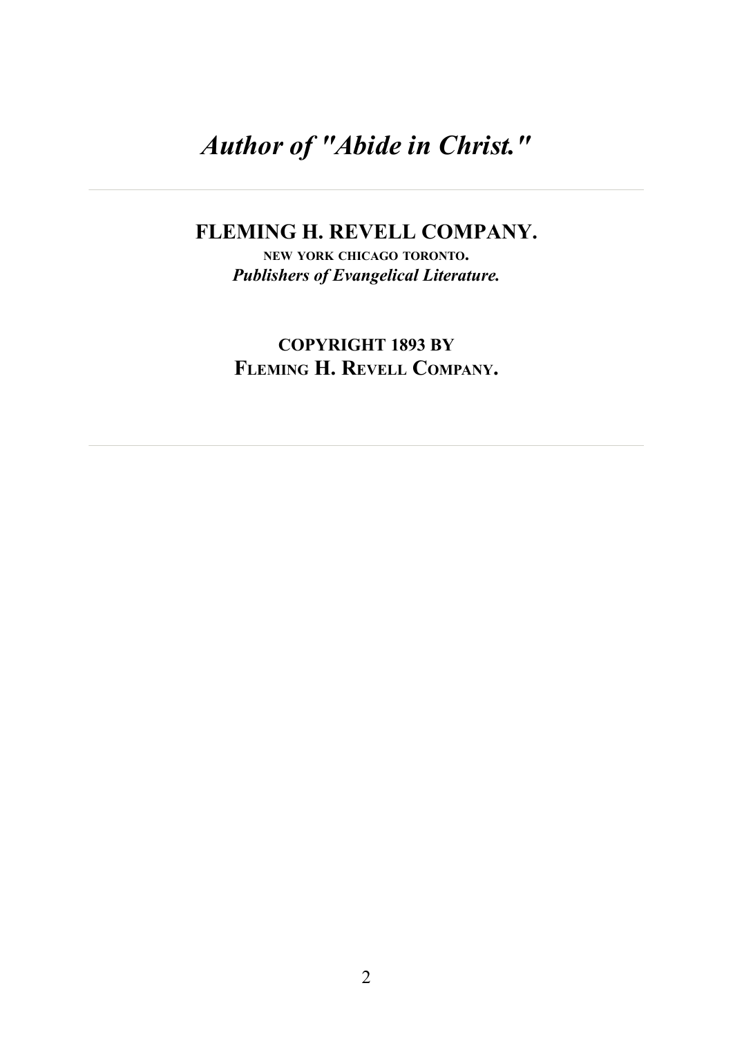# *Author of "Abide in Christ."*

#### **FLEMING H. REVELL COMPANY.**

**NEW YORK CHICAGO TORONTO.** *Publishers of Evangelical Literature.*

**COPYRIGHT 1893 BY FLEMING H. REVELL COMPANY.**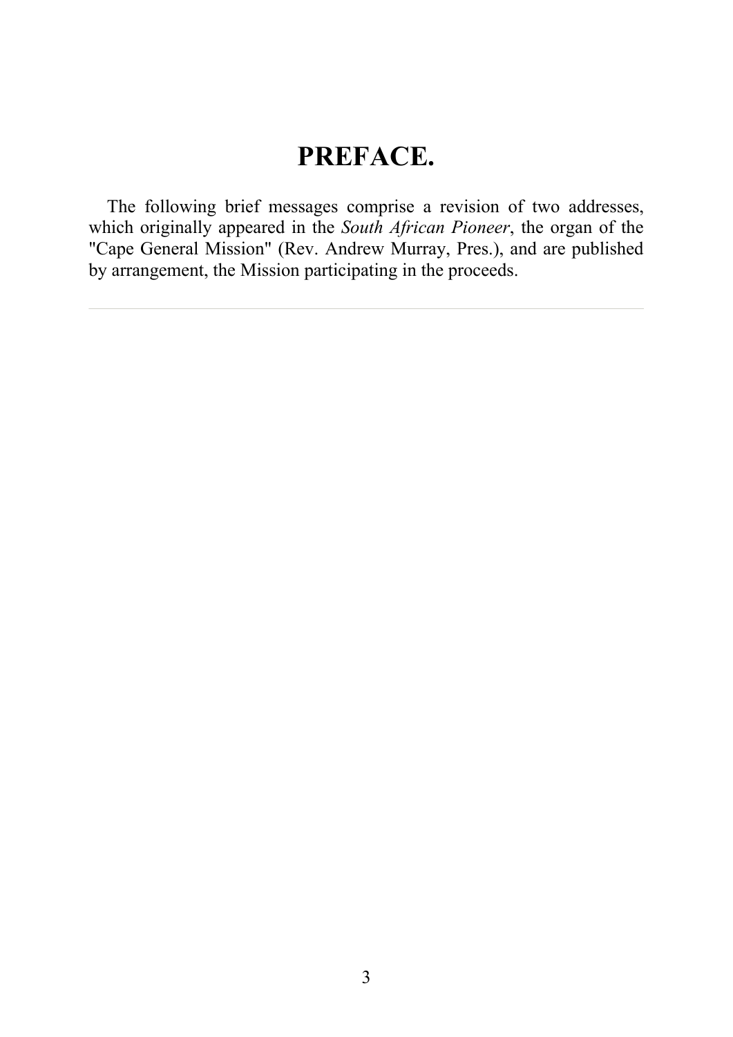# **PREFACE.**

The following brief messages comprise a revision of two addresses, which originally appeared in the *South African Pioneer*, the organ of the "Cape General Mission" (Rev. Andrew Murray, Pres.), and are published by arrangement, the Mission participating in the proceeds.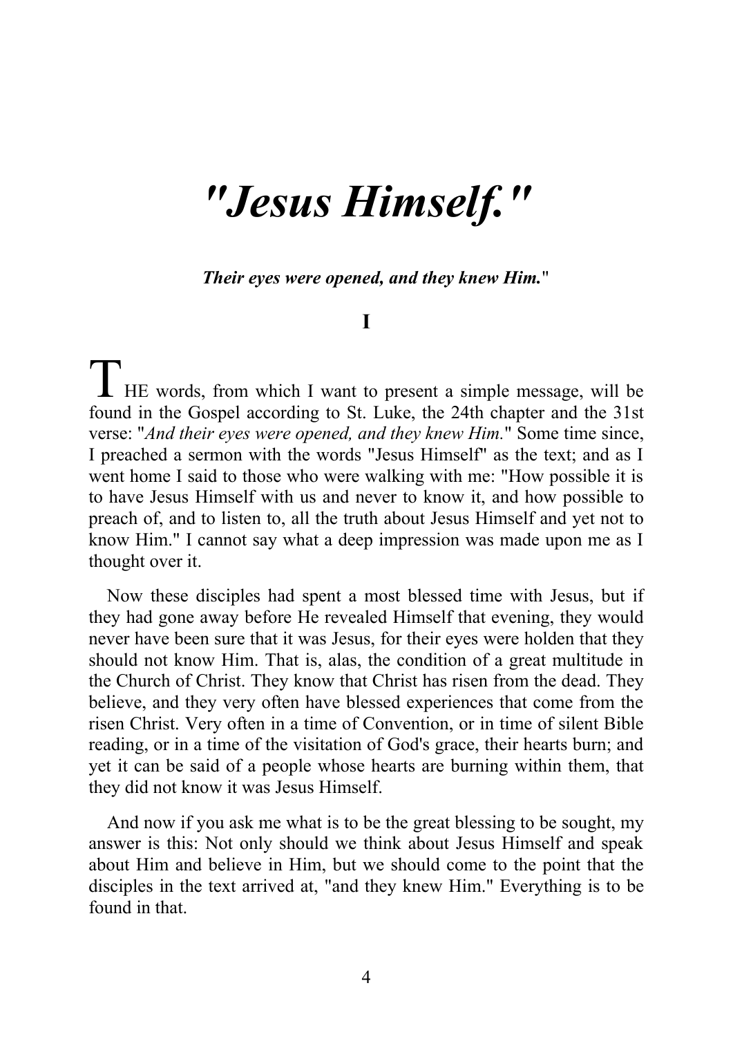# *"Jesus Himself. "*

*Their eyes were opened, and they knew Him.*"

#### **I**

THE words, from which I want to present a simple message, will be found in the Gamel according to St. Lake the 24th chapter and the 21st found in the Gospel according to St. Luke, the 24th chapter and the 31st verse: "*And their eyes were opened, and they knew Him.*" Some time since, I preached a sermon with the words "Jesus Himself" as the text; and as I went home I said to those who were walking with me: "How possible it is to have Jesus Himself with us and never to know it, and how possible to preach of, and to listen to, all the truth about Jesus Himself and yet not to know Him." I cannot say what a deep impression was made upon me as I thought over it.

Now these disciples had spent a most blessed time with Jesus, but if they had gone away before He revealed Himself that evening, they would never have been sure that it was Jesus, for their eyes were holden that they should not know Him. That is, alas, the condition of a great multitude in the Church of Christ. They know that Christ has risen from the dead. They believe, and they very often have blessed experiences that come from the risen Christ. Very often in a time of Convention, or in time of silent Bible reading, or in a time of the visitation of God's grace, their hearts burn; and yet it can be said of a people whose hearts are burning within them, that they did not know it was Jesus Himself.

And now if you ask me what is to be the great blessing to be sought, my answer is this: Not only should we think about Jesus Himself and speak about Him and believe in Him, but we should come to the point that the disciples in the text arrived at, "and they knew Him." Everything is to be found in that.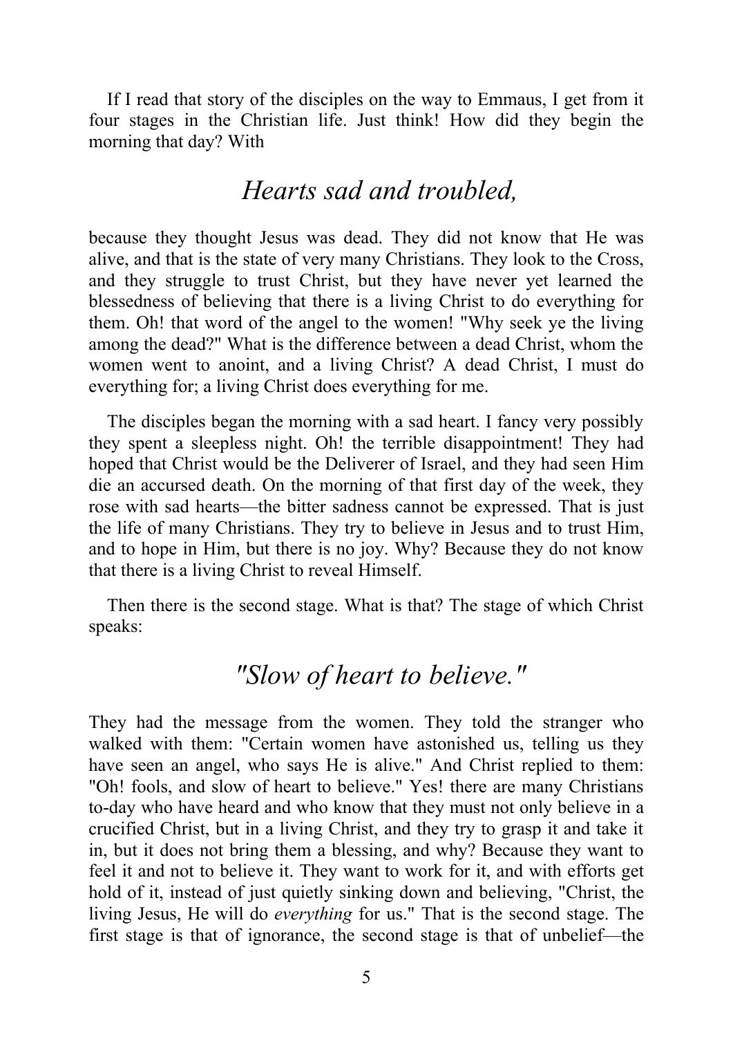If I read that story of the disciples on the way to Emmaus, I get from it four stages in the Christian life. Just think! How did they begin the morning that day? With

### *Hearts sad and troubled,*

because they thought Jesus was dead. They did not know that He was alive, and that is the state of very many Christians. They look to the Cross, and they struggle to trust Christ, but they have never yet learned the blessedness of believing that there is a living Christ to do everything for them. Oh! that word of the angel to the women! "Why seek ye the living among the dead?" What is the difference between a dead Christ, whom the women went to anoint, and a living Christ? A dead Christ, I must do everything for; a living Christ does everything for me.

The disciples began the morning with a sad heart. I fancy very possibly they spent a sleepless night. Oh! the terrible disappointment! They had hoped that Christ would be the Deliverer of Israel, and they had seen Him die an accursed death. On the morning of that first day of the week, they rose with sad hearts—the bitter sadness cannot be expressed. That is just the life of many Christians. They try to believe in Jesus and to trust Him, and to hope in Him, but there is no joy. Why? Because they do not know that there is a living Christ to reveal Himself.

Then there is the second stage. What is that? The stage of which Christ speaks:

### *"Slow of heart to believe."*

They had the message from the women. They told the stranger who walked with them: "Certain women have astonished us, telling us they have seen an angel, who says He is alive." And Christ replied to them: "Oh! fools, and slow of heart to believe." Yes! there are many Christians to-day who have heard and who know that they must not only believe in a crucified Christ, but in a living Christ, and they try to grasp it and take it in, but it does not bring them a blessing, and why? Because they want to feel it and not to believe it. They want to work for it, and with efforts get hold of it, instead of just quietly sinking down and believing, "Christ, the living Jesus, He will do *everything* for us." That is the second stage. The first stage is that of ignorance, the second stage is that of unbelief—the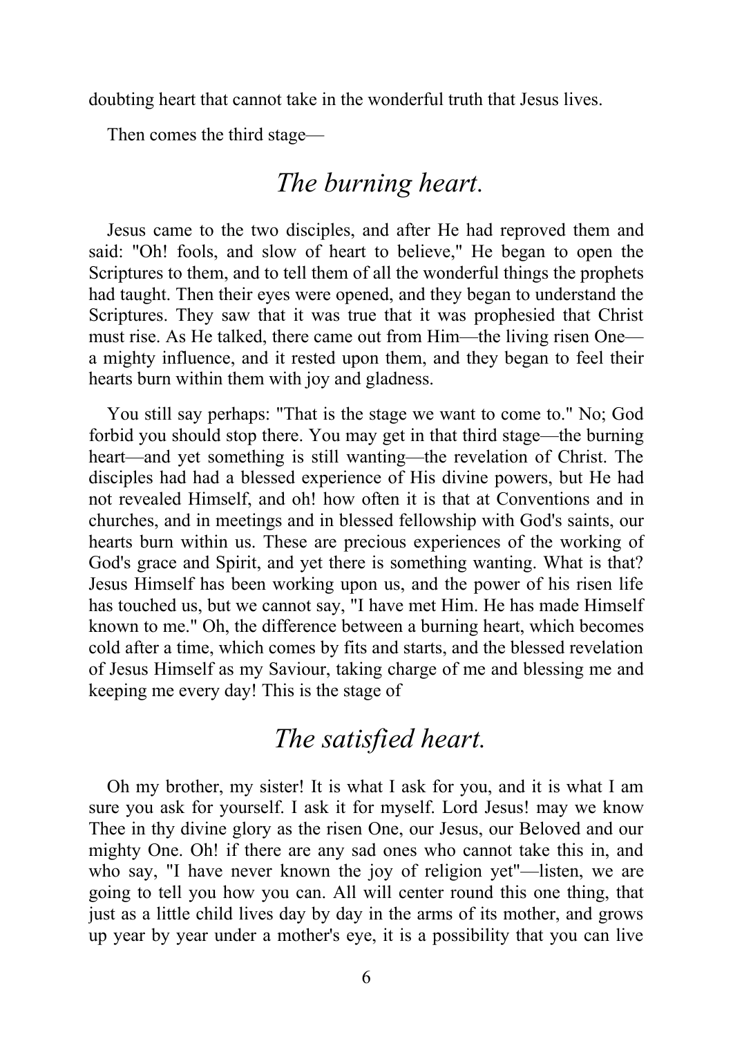doubting heart that cannot take in the wonderful truth that Jesus lives.

Then comes the third stage—

### *The burning heart.*

Jesus came to the two disciples, and after He had reproved them and said: "Oh! fools, and slow of heart to believe," He began to open the Scriptures to them, and to tell them of all the wonderful things the prophets had taught. Then their eyes were opened, and they began to understand the Scriptures. They saw that it was true that it was prophesied that Christ must rise. As He talked, there came out from Him—the living risen One a mighty influence, and it rested upon them, and they began to feel their hearts burn within them with joy and gladness.

You still say perhaps: "That is the stage we want to come to." No; God forbid you should stop there. You may get in that third stage—the burning heart—and yet something is still wanting—the revelation of Christ. The disciples had had a blessed experience of His divine powers, but He had not revealed Himself, and oh! how often it is that at Conventions and in churches, and in meetings and in blessed fellowship with God's saints, our hearts burn within us. These are precious experiences of the working of God's grace and Spirit, and yet there is something wanting. What is that? Jesus Himself has been working upon us, and the power of his risen life has touched us, but we cannot say, "I have met Him. He has made Himself known to me." Oh, the difference between a burning heart, which becomes cold after a time, which comes by fits and starts, and the blessed revelation of Jesus Himself as my Saviour, taking charge of me and blessing me and keeping me every day! This is the stage of

### *The satisfied heart.*

Oh my brother, my sister! It is what I ask for you, and it is what I am sure you ask for yourself. I ask it for myself. Lord Jesus! may we know Thee in thy divine glory as the risen One, our Jesus, our Beloved and our mighty One. Oh! if there are any sad ones who cannot take this in, and who say, "I have never known the joy of religion yet"—listen, we are going to tell you how you can. All will center round this one thing, that just as a little child lives day by day in the arms of its mother, and grows up year by year under a mother's eye, it is a possibility that you can live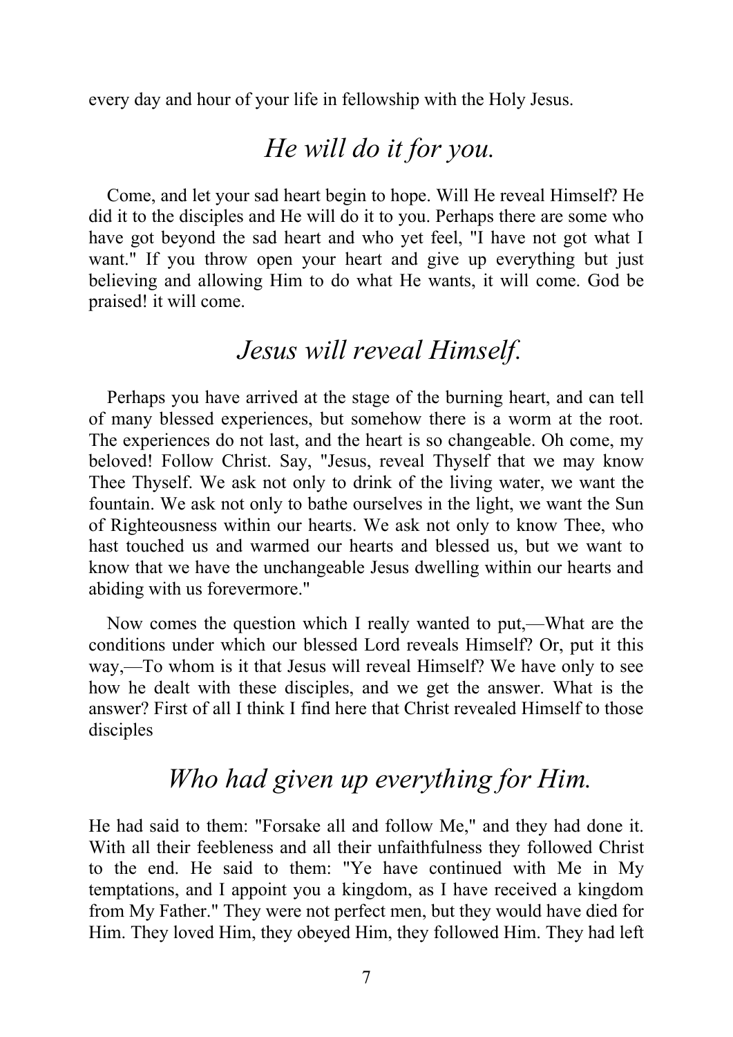every day and hour of your life in fellowship with the Holy Jesus.

### *He will do it for you.*

Come, and let your sad heart begin to hope. Will He reveal Himself? He did it to the disciples and He will do it to you. Perhaps there are some who have got beyond the sad heart and who yet feel, "I have not got what I want." If you throw open your heart and give up everything but just believing and allowing Him to do what He wants, it will come. God be praised! it will come.

### *Jesus will reveal Himself.*

Perhaps you have arrived at the stage of the burning heart, and can tell of many blessed experiences, but somehow there is a worm at the root. The experiences do not last, and the heart is so changeable. Oh come, my beloved! Follow Christ. Say, "Jesus, reveal Thyself that we may know Thee Thyself. We ask not only to drink of the living water, we want the fountain. We ask not only to bathe ourselves in the light, we want the Sun of Righteousness within our hearts. We ask not only to know Thee, who hast touched us and warmed our hearts and blessed us, but we want to know that we have the unchangeable Jesus dwelling within our hearts and abiding with us forevermore."

Now comes the question which I really wanted to put,—What are the conditions under which our blessed Lord reveals Himself? Or, put it this way,—To whom is it that Jesus will reveal Himself? We have only to see how he dealt with these disciples, and we get the answer. What is the answer? First of all I think I find here that Christ revealed Himself to those disciples

# *Who had given up everything for Him.*

He had said to them: "Forsake all and follow Me," and they had done it. With all their feebleness and all their unfaithfulness they followed Christ to the end. He said to them: "Ye have continued with Me in My temptations, and I appoint you a kingdom, as I have received a kingdom from My Father." They were not perfect men, but they would have died for Him. They loved Him, they obeyed Him, they followed Him. They had left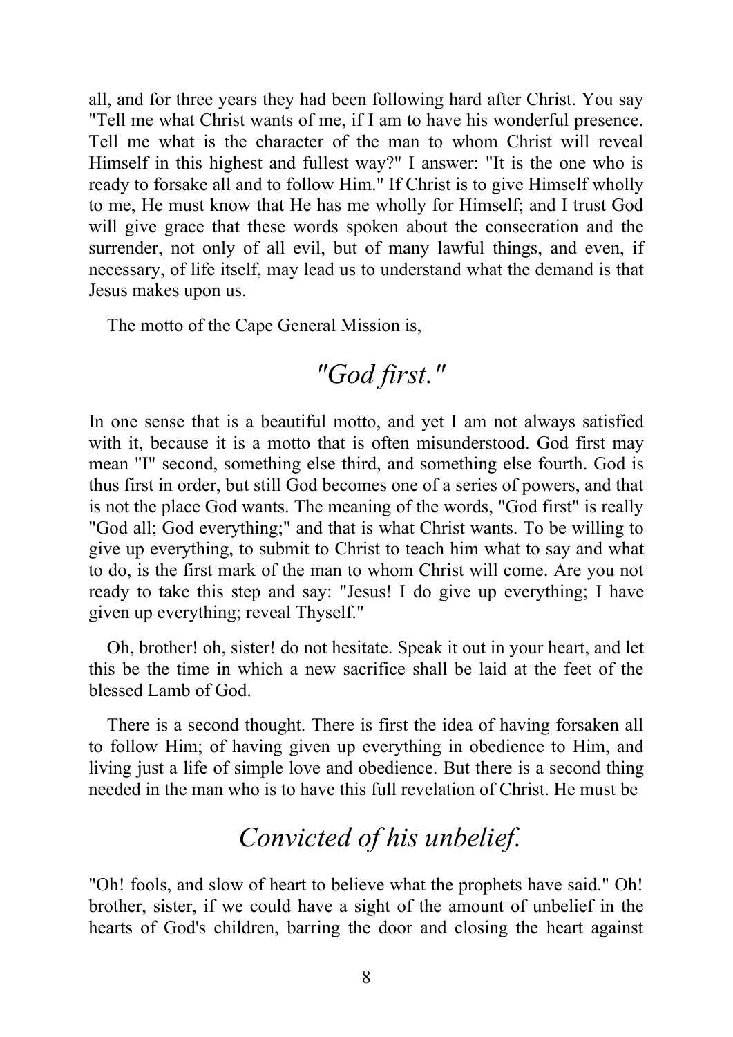all, and for three years they had been following hard after Christ. You say "Tell me what Christ wants of me, if I am to have his wonderful presence. Tell me what is the character of the man to whom Christ will reveal Himself in this highest and fullest way?" I answer: "It is the one who is ready to forsake all and to follow Him." If Christ is to give Himself wholly to me, He must know that He has me wholly for Himself; and I trust God will give grace that these words spoken about the consecration and the surrender, not only of all evil, but of many lawful things, and even, if necessary, of life itself, may lead us to understand what the demand is that Jesus makes upon us.

The motto of the Cape General Mission is,

# *"God first."*

In one sense that is a beautiful motto, and yet I am not always satisfied with it, because it is a motto that is often misunderstood. God first may mean "I" second, something else third, and something else fourth. God is thus first in order, but still God becomes one of a series of powers, and that is not the place God wants. The meaning of the words, "God first" is really "God all; God everything;" and that is what Christ wants. To be willing to give up everything, to submit to Christ to teach him what to say and what to do, is the first mark of the man to whom Christ will come. Are you not ready to take this step and say: "Jesus! I do give up everything; I have given up everything; reveal Thyself."

Oh, brother! oh, sister! do not hesitate. Speak it out in your heart, and let this be the time in which a new sacrifice shall be laid at the feet of the blessed Lamb of God.

There is a second thought. There is first the idea of having forsaken all to follow Him; of having given up everything in obedience to Him, and living just a life of simple love and obedience. But there is a second thing needed in the man who is to have this full revelation of Christ. He must be

# *Convicted of his unbelief.*

"Oh! fools, and slow of heart to believe what the prophets have said." Oh! brother, sister, if we could have a sight of the amount of unbelief in the hearts of God's children, barring the door and closing the heart against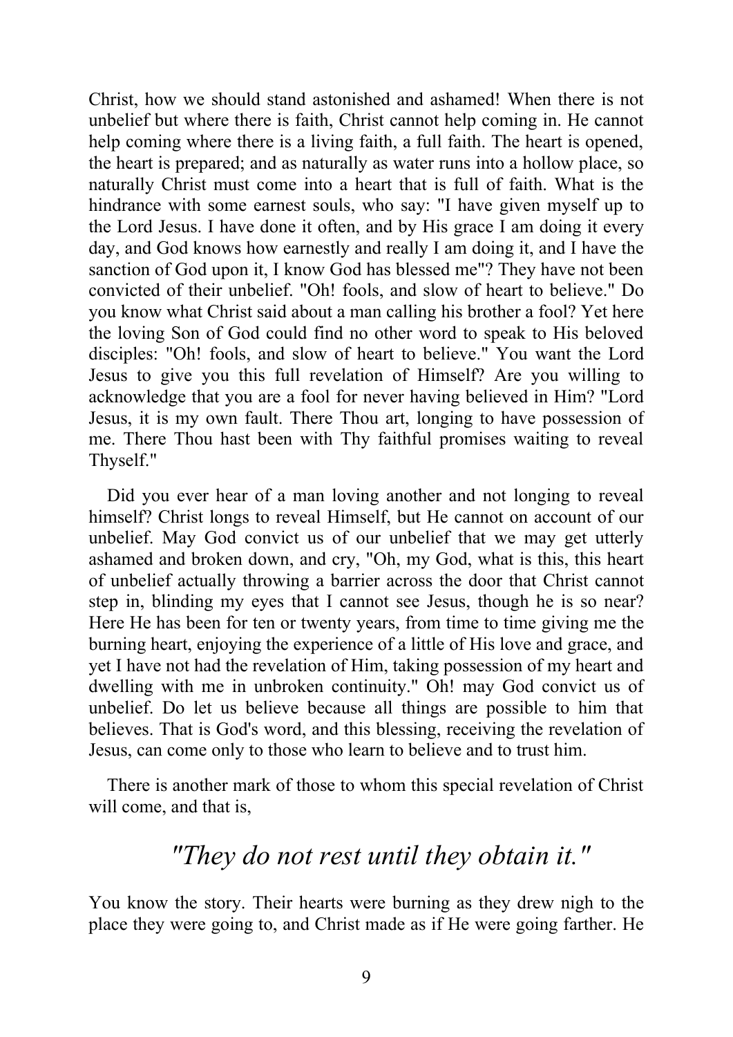Christ, how we should stand astonished and ashamed! When there is not unbelief but where there is faith, Christ cannot help coming in. He cannot help coming where there is a living faith, a full faith. The heart is opened, the heart is prepared; and as naturally as water runs into a hollow place, so naturally Christ must come into a heart that is full of faith. What is the hindrance with some earnest souls, who say: "I have given myself up to the Lord Jesus. I have done it often, and by His grace I am doing it every day, and God knows how earnestly and really I am doing it, and I have the sanction of God upon it, I know God has blessed me"? They have not been convicted of their unbelief. "Oh! fools, and slow of heart to believe." Do you know what Christ said about a man calling his brother a fool? Yet here the loving Son of God could find no other word to speak to His beloved disciples: "Oh! fools, and slow of heart to believe." You want the Lord Jesus to give you this full revelation of Himself? Are you willing to acknowledge that you are a fool for never having believed in Him? "Lord Jesus, it is my own fault. There Thou art, longing to have possession of me. There Thou hast been with Thy faithful promises waiting to reveal Thyself."

Did you ever hear of a man loving another and not longing to reveal himself? Christ longs to reveal Himself, but He cannot on account of our unbelief. May God convict us of our unbelief that we may get utterly ashamed and broken down, and cry, "Oh, my God, what is this, this heart of unbelief actually throwing a barrier across the door that Christ cannot step in, blinding my eyes that I cannot see Jesus, though he is so near? Here He has been for ten or twenty years, from time to time giving me the burning heart, enjoying the experience of a little of His love and grace, and yet I have not had the revelation of Him, taking possession of my heart and dwelling with me in unbroken continuity." Oh! may God convict us of unbelief. Do let us believe because all things are possible to him that believes. That is God's word, and this blessing, receiving the revelation of Jesus, can come only to those who learn to believe and to trust him.

There is another mark of those to whom this special revelation of Christ will come, and that is,

# *"They do not rest until they obtain it."*

You know the story. Their hearts were burning as they drew nigh to the place they were going to, and Christ made as if He were going farther. He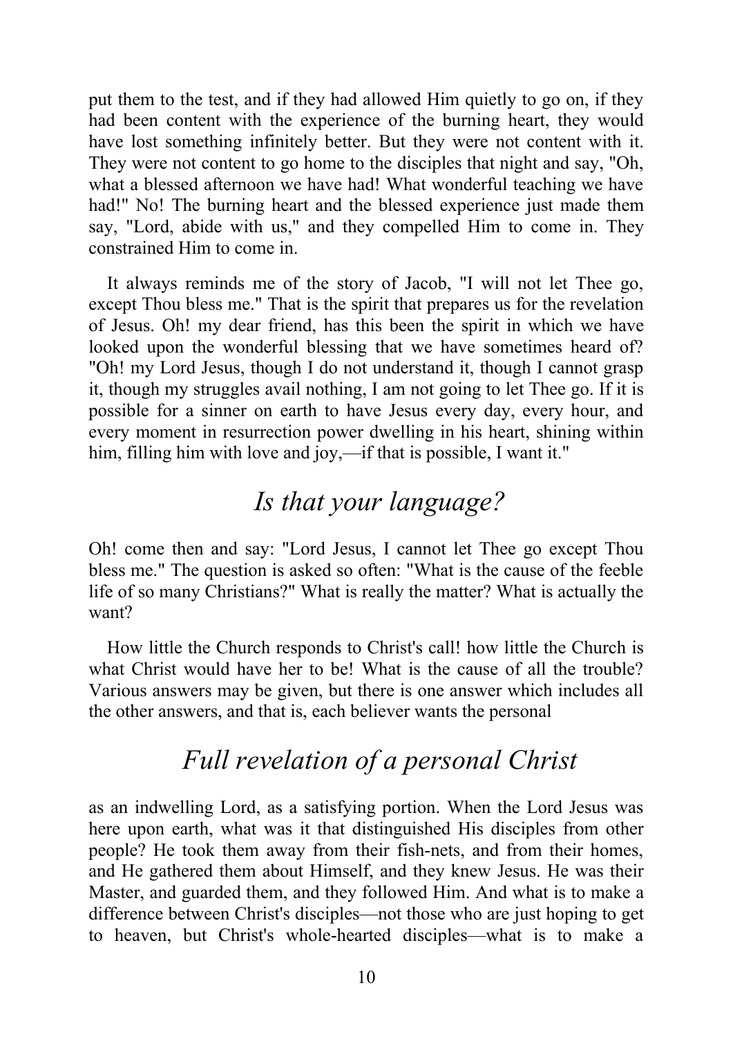put them to the test, and if they had allowed Him quietly to go on, if they had been content with the experience of the burning heart, they would have lost something infinitely better. But they were not content with it. They were not content to go home to the disciples that night and say, "Oh, what a blessed afternoon we have had! What wonderful teaching we have had!" No! The burning heart and the blessed experience just made them say, "Lord, abide with us," and they compelled Him to come in. They constrained Him to come in.

It always reminds me of the story of Jacob, "I will not let Thee go, except Thou bless me." That is the spirit that prepares us for the revelation of Jesus. Oh! my dear friend, has this been the spirit in which we have looked upon the wonderful blessing that we have sometimes heard of? "Oh! my Lord Jesus, though I do not understand it, though I cannot grasp it, though my struggles avail nothing, I am not going to let Thee go. If it is possible for a sinner on earth to have Jesus every day, every hour, and every moment in resurrection power dwelling in his heart, shining within him, filling him with love and joy,—if that is possible, I want it."

# *Is that your language?*

Oh! come then and say: "Lord Jesus, I cannot let Thee go except Thou bless me." The question is asked so often: "What is the cause of the feeble life of so many Christians?" What is really the matter? What is actually the want?

How little the Church responds to Christ's call! how little the Church is what Christ would have her to be! What is the cause of all the trouble? Various answers may be given, but there is one answer which includes all the other answers, and that is, each believer wants the personal

# *Full revelation of a personal Christ*

as an indwelling Lord, as a satisfying portion. When the Lord Jesus was here upon earth, what was it that distinguished His disciples from other people? He took them away from their fish-nets, and from their homes, and He gathered them about Himself, and they knew Jesus. He was their Master, and guarded them, and they followed Him. And what is to make a difference between Christ's disciples—not those who are just hoping to get to heaven, but Christ's whole-hearted disciples—what is to make a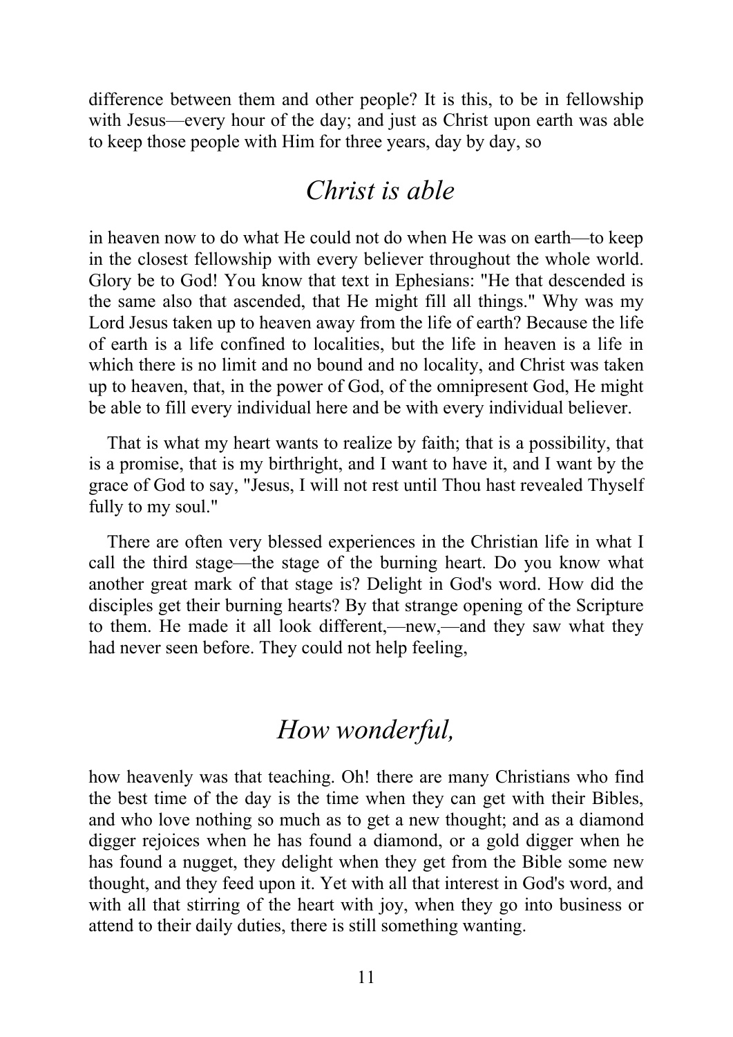difference between them and other people? It is this, to be in fellowship with Jesus—every hour of the day; and just as Christ upon earth was able to keep those people with Him for three years, day by day, so

### *Christ is able*

in heaven now to do what He could not do when He was on earth—to keep in the closest fellowship with every believer throughout the whole world. Glory be to God! You know that text in Ephesians: "He that descended is the same also that ascended, that He might fill all things." Why was my Lord Jesus taken up to heaven away from the life of earth? Because the life of earth is a life confined to localities, but the life in heaven is a life in which there is no limit and no bound and no locality, and Christ was taken up to heaven, that, in the power of God, of the omnipresent God, He might be able to fill every individual here and be with every individual believer.

That is what my heart wants to realize by faith; that is a possibility, that is a promise, that is my birthright, and I want to have it, and I want by the grace of God to say, "Jesus, I will not rest until Thou hast revealed Thyself fully to my soul."

There are often very blessed experiences in the Christian life in what I call the third stage—the stage of the burning heart. Do you know what another great mark of that stage is? Delight in God's word. How did the disciples get their burning hearts? By that strange opening of the Scripture to them. He made it all look different,—new,—and they saw what they had never seen before. They could not help feeling,

# *How wonderful,*

how heavenly was that teaching. Oh! there are many Christians who find the best time of the day is the time when they can get with their Bibles, and who love nothing so much as to get a new thought; and as a diamond digger rejoices when he has found a diamond, or a gold digger when he has found a nugget, they delight when they get from the Bible some new thought, and they feed upon it. Yet with all that interest in God's word, and with all that stirring of the heart with joy, when they go into business or attend to their daily duties, there is still something wanting.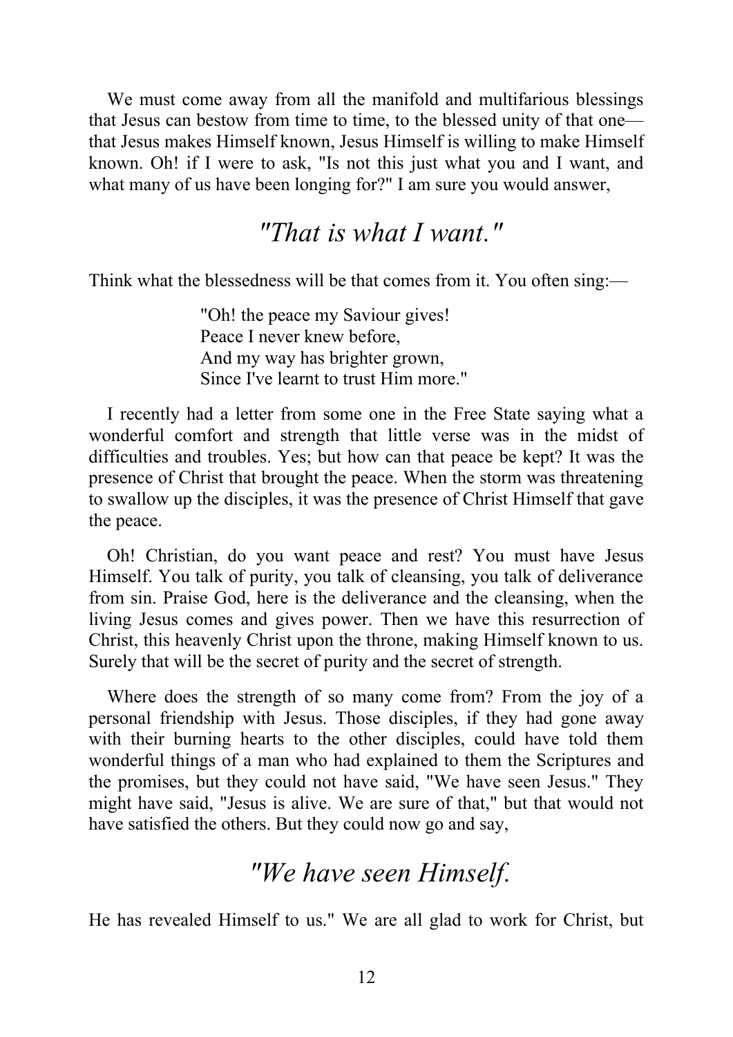We must come away from all the manifold and multifarious blessings that Jesus can bestow from time to time, to the blessed unity of that one that Jesus makes Himself known, Jesus Himself is willing to make Himself known. Oh! if I were to ask, "Is not this just what you and I want, and what many of us have been longing for?" I am sure you would answer,

### *"That is what I want."*

Think what the blessedness will be that comes from it. You often sing:—

"Oh! the peace my Saviour gives! Peace I never knew before, And my way has brighter grown, Since I've learnt to trust Him more."

I recently had a letter from some one in the Free State saying what a wonderful comfort and strength that little verse was in the midst of difficulties and troubles. Yes; but how can that peace be kept? It was the presence of Christ that brought the peace. When the storm was threatening to swallow up the disciples, it was the presence of Christ Himself that gave the peace.

Oh! Christian, do you want peace and rest? You must have Jesus Himself. You talk of purity, you talk of cleansing, you talk of deliverance from sin. Praise God, here is the deliverance and the cleansing, when the living Jesus comes and gives power. Then we have this resurrection of Christ, this heavenly Christ upon the throne, making Himself known to us. Surely that will be the secret of purity and the secret of strength.

Where does the strength of so many come from? From the joy of a personal friendship with Jesus. Those disciples, if they had gone away with their burning hearts to the other disciples, could have told them wonderful things of a man who had explained to them the Scriptures and the promises, but they could not have said, "We have seen Jesus." They might have said, "Jesus is alive. We are sure of that," but that would not have satisfied the others. But they could now go and say,

### *"We have seen Himself.*

He has revealed Himself to us." We are all glad to work for Christ, but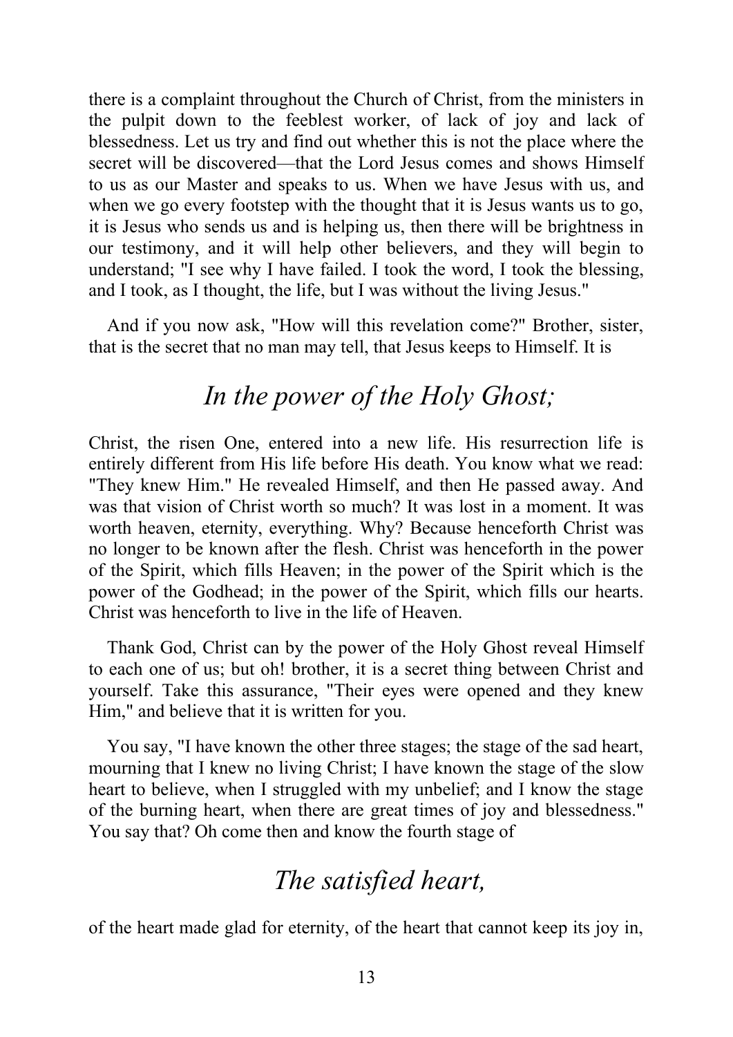there is a complaint throughout the Church of Christ, from the ministers in the pulpit down to the feeblest worker, of lack of joy and lack of blessedness. Let us try and find out whether this is not the place where the secret will be discovered—that the Lord Jesus comes and shows Himself to us as our Master and speaks to us. When we have Jesus with us, and when we go every footstep with the thought that it is Jesus wants us to go, it is Jesus who sends us and is helping us, then there will be brightness in our testimony, and it will help other believers, and they will begin to understand; "I see why I have failed. I took the word, I took the blessing, and I took, as I thought, the life, but I was without the living Jesus."

And if you now ask, "How will this revelation come?" Brother, sister, that is the secret that no man may tell, that Jesus keeps to Himself. It is

# *In the power of the Holy Ghost;*

Christ, the risen One, entered into a new life. His resurrection life is entirely different from His life before His death. You know what we read: "They knew Him." He revealed Himself, and then He passed away. And was that vision of Christ worth so much? It was lost in a moment. It was worth heaven, eternity, everything. Why? Because henceforth Christ was no longer to be known after the flesh. Christ was henceforth in the power of the Spirit, which fills Heaven; in the power of the Spirit which is the power of the Godhead; in the power of the Spirit, which fills our hearts. Christ was henceforth to live in the life of Heaven.

Thank God, Christ can by the power of the Holy Ghost reveal Himself to each one of us; but oh! brother, it is a secret thing between Christ and yourself. Take this assurance, "Their eyes were opened and they knew Him," and believe that it is written for you.

You say, "I have known the other three stages; the stage of the sad heart, mourning that I knew no living Christ; I have known the stage of the slow heart to believe, when I struggled with my unbelief; and I know the stage of the burning heart, when there are great times of joy and blessedness." You say that? Oh come then and know the fourth stage of

# *The satisfied heart,*

of the heart made glad for eternity, of the heart that cannot keep its joy in,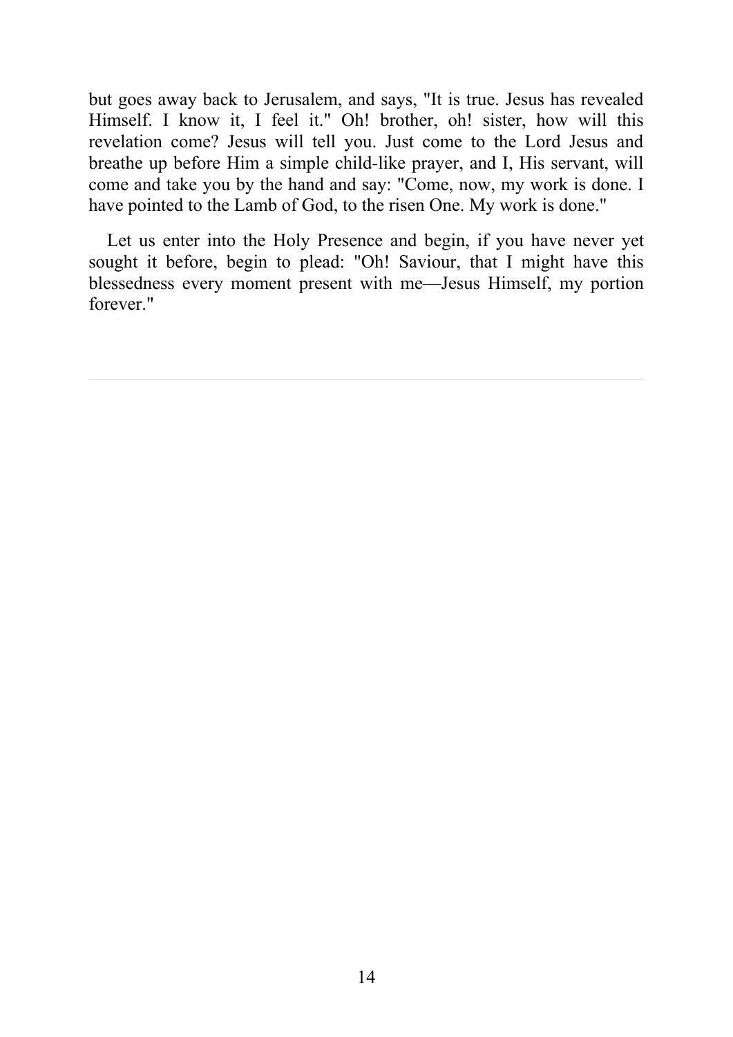but goes away back to Jerusalem, and says, "It is true. Jesus has revealed Himself. I know it, I feel it." Oh! brother, oh! sister, how will this revelation come? Jesus will tell you. Just come to the Lord Jesus and breathe up before Him a simple child-like prayer, and I, His servant, will come and take you by the hand and say: "Come, now, my work is done. I have pointed to the Lamb of God, to the risen One. My work is done."

Let us enter into the Holy Presence and begin, if you have never yet sought it before, begin to plead: "Oh! Saviour, that I might have this blessedness every moment present with me—Jesus Himself, my portion forever."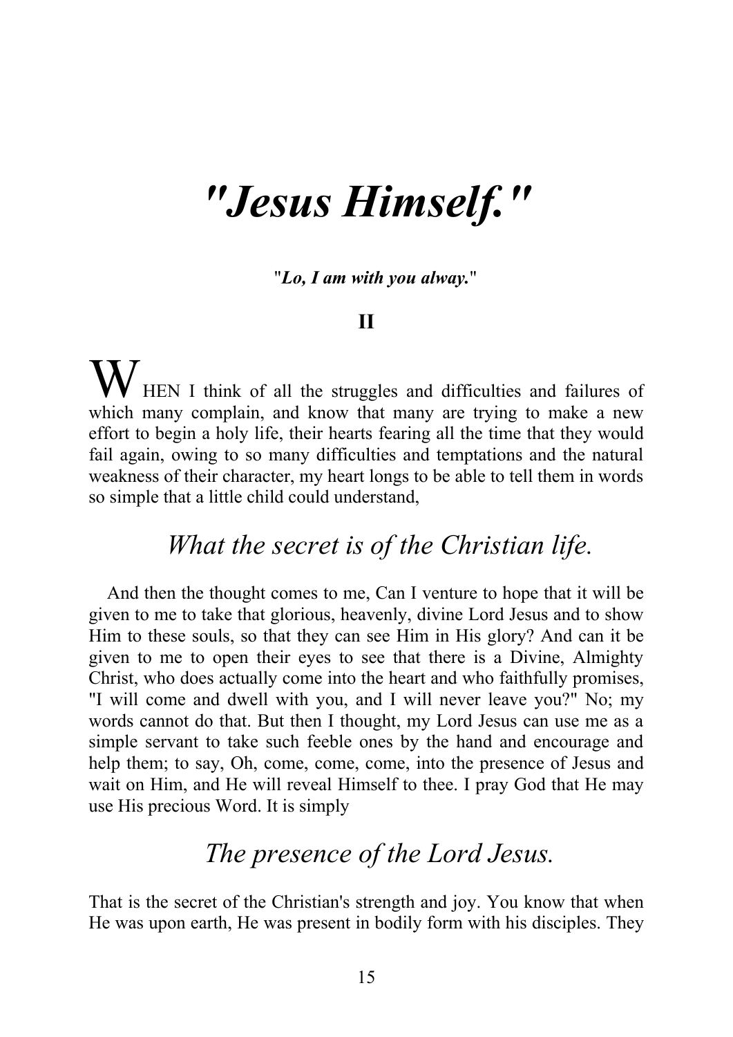# *"Jesus Himself. "*

"*Lo, I am with you alway.*"

#### **II**

WHEN I think of all the struggles and difficulties and failures of which many complain, and know that many are trying to make a new effort to begin a holy life, their hearts fearing all the time that they would fail again, owing to so many difficulties and temptations and the natural weakness of their character, my heart longs to be able to tell them in words so simple that a little child could understand,

### *What the secret is of the Christian life.*

And then the thought comes to me, Can I venture to hope that it will be given to me to take that glorious, heavenly, divine Lord Jesus and to show Him to these souls, so that they can see Him in His glory? And can it be given to me to open their eyes to see that there is a Divine, Almighty Christ, who does actually come into the heart and who faithfully promises, "I will come and dwell with you, and I will never leave you?" No; my words cannot do that. But then I thought, my Lord Jesus can use me as a simple servant to take such feeble ones by the hand and encourage and help them; to say, Oh, come, come, come, into the presence of Jesus and wait on Him, and He will reveal Himself to thee. I pray God that He may use His precious Word. It is simply

## *The presence of the Lord Jesus.*

That is the secret of the Christian's strength and joy. You know that when He was upon earth, He was present in bodily form with his disciples. They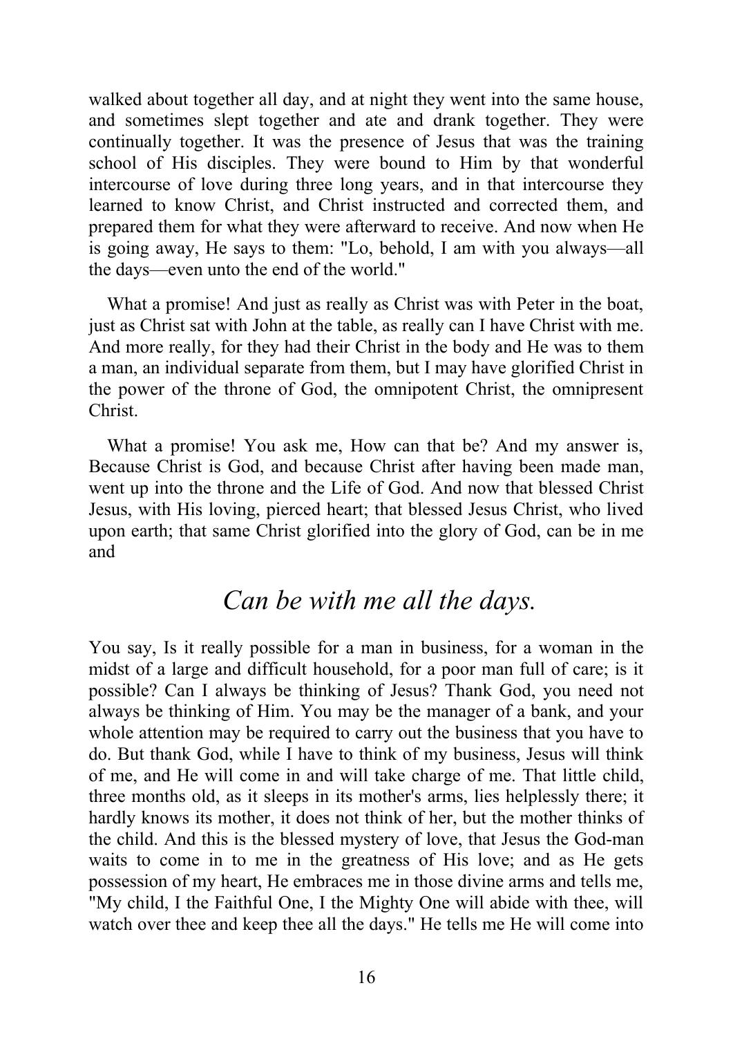walked about together all day, and at night they went into the same house, and sometimes slept together and ate and drank together. They were continually together. It was the presence of Jesus that was the training school of His disciples. They were bound to Him by that wonderful intercourse of love during three long years, and in that intercourse they learned to know Christ, and Christ instructed and corrected them, and prepared them for what they were afterward to receive. And now when He is going away, He says to them: "Lo, behold, I am with you always—all the days—even unto the end of the world."

What a promise! And just as really as Christ was with Peter in the boat, just as Christ sat with John at the table, as really can I have Christ with me. And more really, for they had their Christ in the body and He was to them a man, an individual separate from them, but I may have glorified Christ in the power of the throne of God, the omnipotent Christ, the omnipresent Christ.

What a promise! You ask me, How can that be? And my answer is, Because Christ is God, and because Christ after having been made man, went up into the throne and the Life of God. And now that blessed Christ Jesus, with His loving, pierced heart; that blessed Jesus Christ, who lived upon earth; that same Christ glorified into the glory of God, can be in me and

# *Can be with me all the days.*

You say, Is it really possible for a man in business, for a woman in the midst of a large and difficult household, for a poor man full of care; is it possible? Can I always be thinking of Jesus? Thank God, you need not always be thinking of Him. You may be the manager of a bank, and your whole attention may be required to carry out the business that you have to do. But thank God, while I have to think of my business, Jesus will think of me, and He will come in and will take charge of me. That little child, three months old, as it sleeps in its mother's arms, lies helplessly there; it hardly knows its mother, it does not think of her, but the mother thinks of the child. And this is the blessed mystery of love, that Jesus the God-man waits to come in to me in the greatness of His love; and as He gets possession of my heart, He embraces me in those divine arms and tells me, "My child, I the Faithful One, I the Mighty One will abide with thee, will watch over thee and keep thee all the days." He tells me He will come into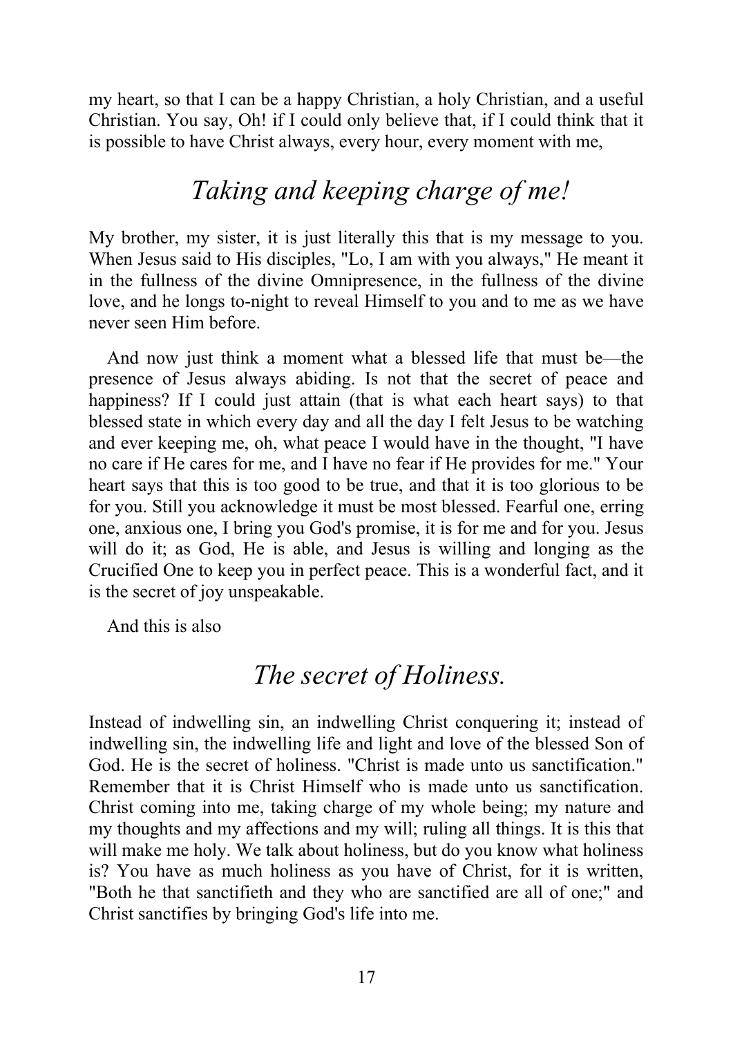my heart, so that I can be a happy Christian, a holy Christian, and a useful Christian. You say, Oh! if I could only believe that, if I could think that it is possible to have Christ always, every hour, every moment with me,

# *Taking and keeping charge of me!*

My brother, my sister, it is just literally this that is my message to you. When Jesus said to His disciples, "Lo, I am with you always," He meant it in the fullness of the divine Omnipresence, in the fullness of the divine love, and he longs to-night to reveal Himself to you and to me as we have never seen Him before.

And now just think a moment what a blessed life that must be—the presence of Jesus always abiding. Is not that the secret of peace and happiness? If I could just attain (that is what each heart says) to that blessed state in which every day and all the day I felt Jesus to be watching and ever keeping me, oh, what peace I would have in the thought, "I have no care if He cares for me, and I have no fear if He provides for me." Your heart says that this is too good to be true, and that it is too glorious to be for you. Still you acknowledge it must be most blessed. Fearful one, erring one, anxious one, I bring you God's promise, it is for me and for you. Jesus will do it; as God, He is able, and Jesus is willing and longing as the Crucified One to keep you in perfect peace. This is a wonderful fact, and it is the secret of joy unspeakable.

And this is also

# *The secret of Holiness.*

Instead of indwelling sin, an indwelling Christ conquering it; instead of indwelling sin, the indwelling life and light and love of the blessed Son of God. He is the secret of holiness. "Christ is made unto us sanctification." Remember that it is Christ Himself who is made unto us sanctification. Christ coming into me, taking charge of my whole being; my nature and my thoughts and my affections and my will; ruling all things. It is this that will make me holy. We talk about holiness, but do you know what holiness is? You have as much holiness as you have of Christ, for it is written, "Both he that sanctifieth and they who are sanctified are all of one;" and Christ sanctifies by bringing God's life into me.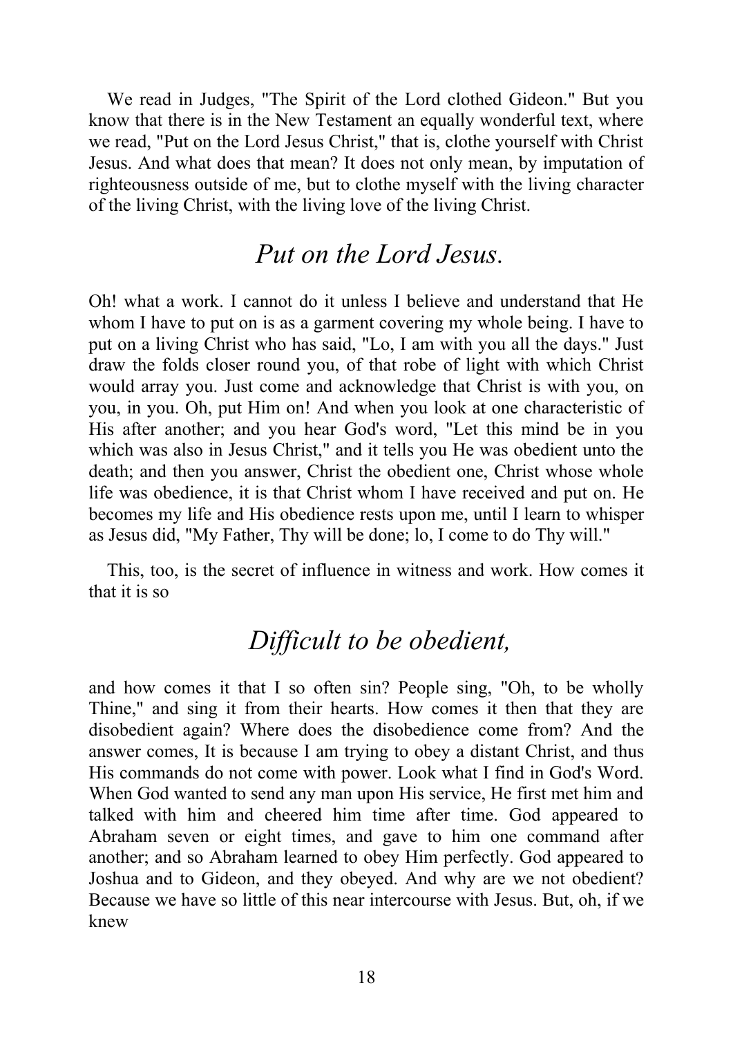We read in Judges, "The Spirit of the Lord clothed Gideon." But you know that there is in the New Testament an equally wonderful text, where we read, "Put on the Lord Jesus Christ," that is, clothe yourself with Christ Jesus. And what does that mean? It does not only mean, by imputation of righteousness outside of me, but to clothe myself with the living character of the living Christ, with the living love of the living Christ.

# *Put on the Lord Jesus.*

Oh! what a work. I cannot do it unless I believe and understand that He whom I have to put on is as a garment covering my whole being. I have to put on a living Christ who has said, "Lo, I am with you all the days." Just draw the folds closer round you, of that robe of light with which Christ would array you. Just come and acknowledge that Christ is with you, on you, in you. Oh, put Him on! And when you look at one characteristic of His after another; and you hear God's word, "Let this mind be in you which was also in Jesus Christ," and it tells you He was obedient unto the death; and then you answer, Christ the obedient one, Christ whose whole life was obedience, it is that Christ whom I have received and put on. He becomes my life and His obedience rests upon me, until I learn to whisper as Jesus did, "My Father, Thy will be done; lo, I come to do Thy will."

This, too, is the secret of influence in witness and work. How comes it that it is so

# *Dif icult to be obedient,*

and how comes it that I so often sin? People sing, "Oh, to be wholly Thine," and sing it from their hearts. How comes it then that they are disobedient again? Where does the disobedience come from? And the answer comes, It is because I am trying to obey a distant Christ, and thus His commands do not come with power. Look what I find in God's Word. When God wanted to send any man upon His service, He first met him and talked with him and cheered him time after time. God appeared to Abraham seven or eight times, and gave to him one command after another; and so Abraham learned to obey Him perfectly. God appeared to Joshua and to Gideon, and they obeyed. And why are we not obedient? Because we have so little of this near intercourse with Jesus. But, oh, if we knew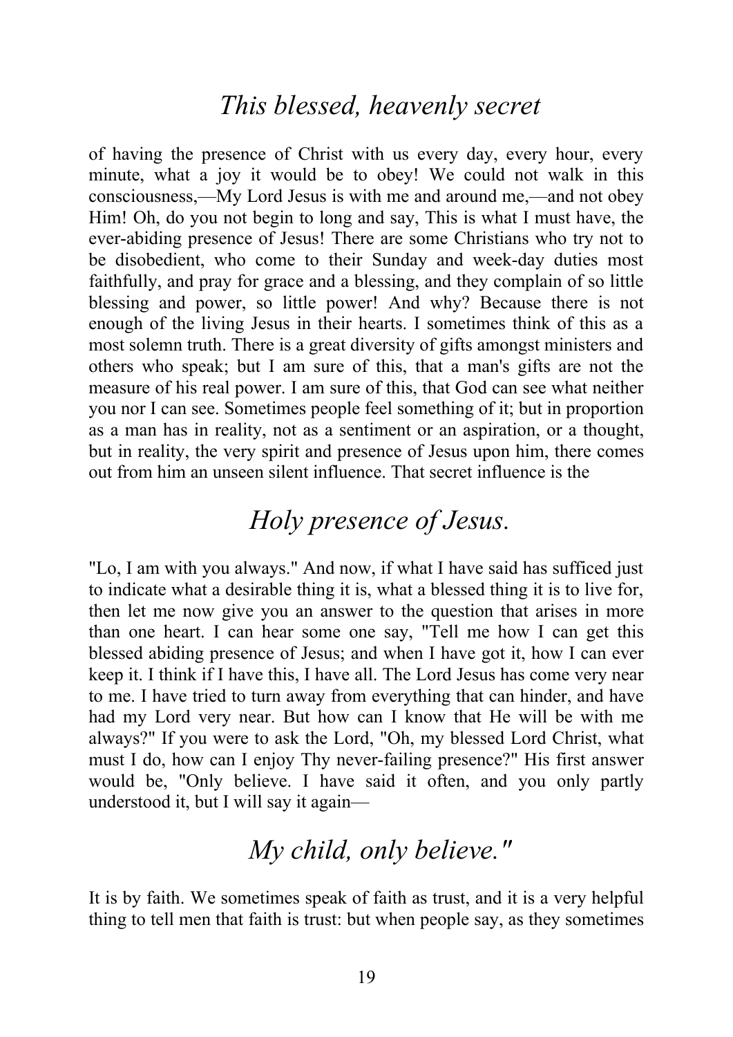### *This blessed, heavenly secret*

of having the presence of Christ with us every day, every hour, every minute, what a joy it would be to obey! We could not walk in this consciousness,—My Lord Jesus is with me and around me,—and not obey Him! Oh, do you not begin to long and say, This is what I must have, the ever-abiding presence of Jesus! There are some Christians who try not to be disobedient, who come to their Sunday and week-day duties most faithfully, and pray for grace and a blessing, and they complain of so little blessing and power, so little power! And why? Because there is not enough of the living Jesus in their hearts. I sometimes think of this as a most solemn truth. There is a great diversity of gifts amongst ministers and others who speak; but I am sure of this, that a man's gifts are not the measure of his real power. I am sure of this, that God can see what neither you nor I can see. Sometimes people feel something of it; but in proportion as a man has in reality, not as a sentiment or an aspiration, or a thought, but in reality, the very spirit and presence of Jesus upon him, there comes out from him an unseen silent influence. That secret influence is the

# *Holy presence of Jesus.*

"Lo, I am with you always." And now, if what I have said has sufficed just to indicate what a desirable thing it is, what a blessed thing it is to live for, then let me now give you an answer to the question that arises in more than one heart. I can hear some one say, "Tell me how I can get this blessed abiding presence of Jesus; and when I have got it, how I can ever keep it. I think if I have this, I have all. The Lord Jesus has come very near to me. I have tried to turn away from everything that can hinder, and have had my Lord very near. But how can I know that He will be with me always?" If you were to ask the Lord, "Oh, my blessed Lord Christ, what must I do, how can I enjoy Thy never-failing presence?" His first answer would be, "Only believe. I have said it often, and you only partly understood it, but I will say it again—

# *My child, only believe."*

It is by faith. We sometimes speak of faith as trust, and it is a very helpful thing to tell men that faith is trust: but when people say, as they sometimes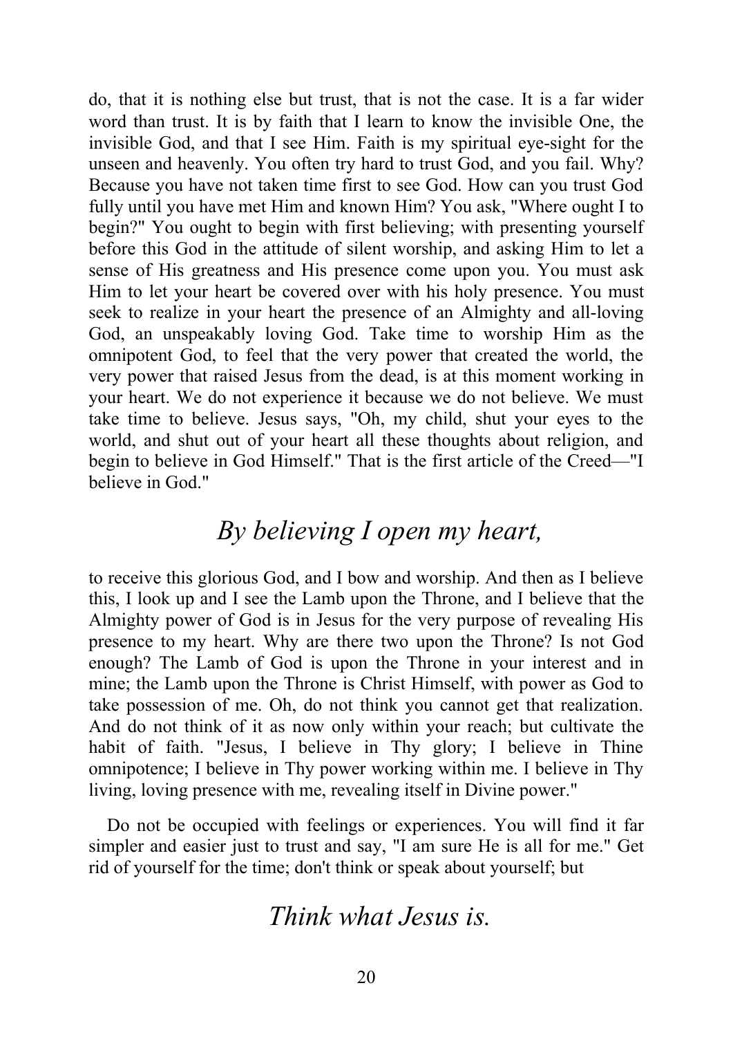do, that it is nothing else but trust, that is not the case. It is a far wider word than trust. It is by faith that I learn to know the invisible One, the invisible God, and that I see Him. Faith is my spiritual eye-sight for the unseen and heavenly. You often try hard to trust God, and you fail. Why? Because you have not taken time first to see God. How can you trust God fully until you have met Him and known Him? You ask, "Where ought I to begin?" You ought to begin with first believing; with presenting yourself before this God in the attitude of silent worship, and asking Him to let a sense of His greatness and His presence come upon you. You must ask Him to let your heart be covered over with his holy presence. You must seek to realize in your heart the presence of an Almighty and all-loving God, an unspeakably loving God. Take time to worship Him as the omnipotent God, to feel that the very power that created the world, the very power that raised Jesus from the dead, is at this moment working in your heart. We do not experience it because we do not believe. We must take time to believe. Jesus says, "Oh, my child, shut your eyes to the world, and shut out of your heart all these thoughts about religion, and begin to believe in God Himself." That is the first article of the Creed—"I believe in God."

# *By believing I open my heart,*

to receive this glorious God, and I bow and worship. And then as I believe this, I look up and I see the Lamb upon the Throne, and I believe that the Almighty power of God is in Jesus for the very purpose of revealing His presence to my heart. Why are there two upon the Throne? Is not God enough? The Lamb of God is upon the Throne in your interest and in mine; the Lamb upon the Throne is Christ Himself, with power as God to take possession of me. Oh, do not think you cannot get that realization. And do not think of it as now only within your reach; but cultivate the habit of faith. "Jesus, I believe in Thy glory; I believe in Thine omnipotence; I believe in Thy power working within me. I believe in Thy living, loving presence with me, revealing itself in Divine power."

Do not be occupied with feelings or experiences. You will find it far simpler and easier just to trust and say, "I am sure He is all for me." Get rid of yourself for the time; don't think or speak about yourself; but

### *Think what Jesus is.*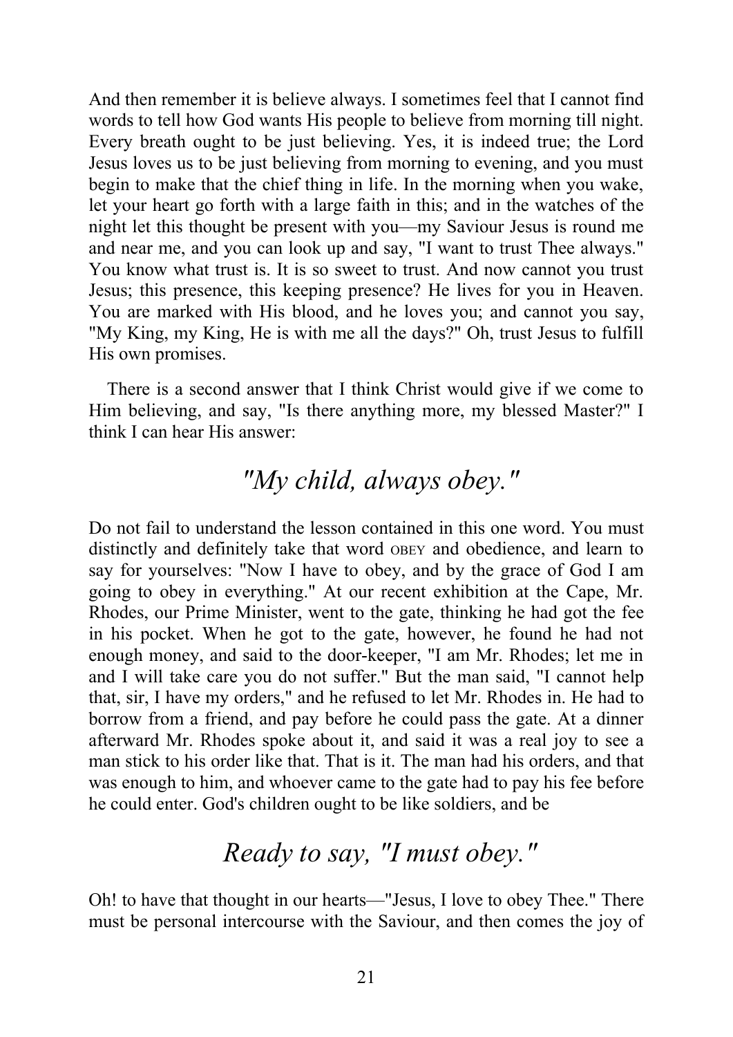And then remember it is believe always. I sometimes feel that I cannot find words to tell how God wants His people to believe from morning till night. Every breath ought to be just believing. Yes, it is indeed true; the Lord Jesus loves us to be just believing from morning to evening, and you must begin to make that the chief thing in life. In the morning when you wake, let your heart go forth with a large faith in this; and in the watches of the night let this thought be present with you—my Saviour Jesus is round me and near me, and you can look up and say, "I want to trust Thee always." You know what trust is. It is so sweet to trust. And now cannot you trust Jesus; this presence, this keeping presence? He lives for you in Heaven. You are marked with His blood, and he loves you; and cannot you say, "My King, my King, He is with me all the days?" Oh, trust Jesus to fulfill His own promises.

There is a second answer that I think Christ would give if we come to Him believing, and say, "Is there anything more, my blessed Master?" I think I can hear His answer:

# *"My child, always obey."*

Do not fail to understand the lesson contained in this one word. You must distinctly and definitely take that word OBEY and obedience, and learn to say for yourselves: "Now I have to obey, and by the grace of God I am going to obey in everything." At our recent exhibition at the Cape, Mr. Rhodes, our Prime Minister, went to the gate, thinking he had got the fee in his pocket. When he got to the gate, however, he found he had not enough money, and said to the door-keeper, "I am Mr. Rhodes; let me in and I will take care you do not suffer." But the man said, "I cannot help that, sir, I have my orders," and he refused to let Mr. Rhodes in. He had to borrow from a friend, and pay before he could pass the gate. At a dinner afterward Mr. Rhodes spoke about it, and said it was a real joy to see a man stick to his order like that. That is it. The man had his orders, and that was enough to him, and whoever came to the gate had to pay his fee before he could enter. God's children ought to be like soldiers, and be

# *Ready to say, "I must obey."*

Oh! to have that thought in our hearts—"Jesus, I love to obey Thee." There must be personal intercourse with the Saviour, and then comes the joy of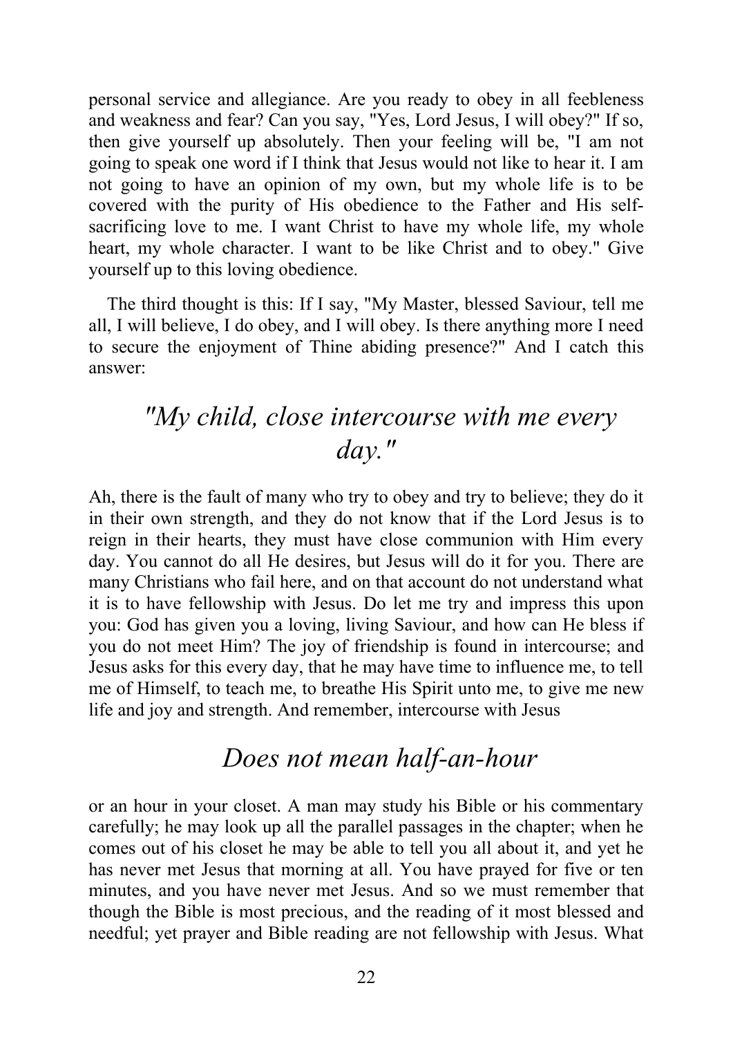personal service and allegiance. Are you ready to obey in all feebleness and weakness and fear? Can you say, "Yes, Lord Jesus, I will obey?" If so, then give yourself up absolutely. Then your feeling will be, "I am not going to speak one word if I think that Jesus would not like to hear it. I am not going to have an opinion of my own, but my whole life is to be covered with the purity of His obedience to the Father and His selfsacrificing love to me. I want Christ to have my whole life, my whole heart, my whole character. I want to be like Christ and to obey." Give yourself up to this loving obedience.

The third thought is this: If I say, "My Master, blessed Saviour, tell me all, I will believe, I do obey, and I will obey. Is there anything more I need to secure the enjoyment of Thine abiding presence?" And I catch this answer:

# *"My child, close intercourse with me every day."*

Ah, there is the fault of many who try to obey and try to believe; they do it in their own strength, and they do not know that if the Lord Jesus is to reign in their hearts, they must have close communion with Him every day. You cannot do all He desires, but Jesus will do it for you. There are many Christians who fail here, and on that account do not understand what it is to have fellowship with Jesus. Do let me try and impress this upon you: God has given you a loving, living Saviour, and how can He bless if you do not meet Him? The joy of friendship is found in intercourse; and Jesus asks for this every day, that he may have time to influence me, to tell me of Himself, to teach me, to breathe His Spirit unto me, to give me new life and joy and strength. And remember, intercourse with Jesus

# *Does not mean half-an-hour*

or an hour in your closet. A man may study his Bible or his commentary carefully; he may look up all the parallel passages in the chapter; when he comes out of his closet he may be able to tell you all about it, and yet he has never met Jesus that morning at all. You have prayed for five or ten minutes, and you have never met Jesus. And so we must remember that though the Bible is most precious, and the reading of it most blessed and needful; yet prayer and Bible reading are not fellowship with Jesus. What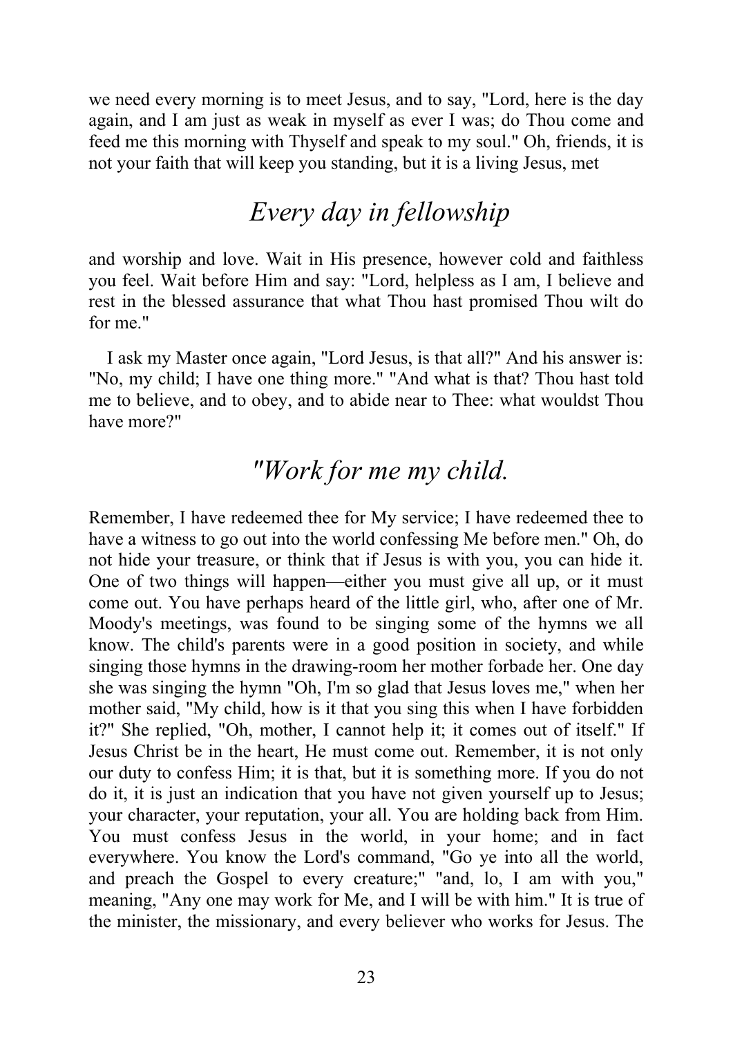we need every morning is to meet Jesus, and to say, "Lord, here is the day again, and I am just as weak in myself as ever I was; do Thou come and feed me this morning with Thyself and speak to my soul." Oh, friends, it is not your faith that will keep you standing, but it is a living Jesus, met

# *Every day in fellowship*

and worship and love. Wait in His presence, however cold and faithless you feel. Wait before Him and say: "Lord, helpless as I am, I believe and rest in the blessed assurance that what Thou hast promised Thou wilt do for me."

I ask my Master once again, "Lord Jesus, is that all?" And his answer is: "No, my child; I have one thing more." "And what is that? Thou hast told me to believe, and to obey, and to abide near to Thee: what wouldst Thou have more?"

### *"Work for me my child.*

Remember, I have redeemed thee for My service; I have redeemed thee to have a witness to go out into the world confessing Me before men." Oh, do not hide your treasure, or think that if Jesus is with you, you can hide it. One of two things will happen—either you must give all up, or it must come out. You have perhaps heard of the little girl, who, after one of Mr. Moody's meetings, was found to be singing some of the hymns we all know. The child's parents were in a good position in society, and while singing those hymns in the drawing-room her mother forbade her. One day she was singing the hymn "Oh, I'm so glad that Jesus loves me," when her mother said, "My child, how is it that you sing this when I have forbidden it?" She replied, "Oh, mother, I cannot help it; it comes out of itself." If Jesus Christ be in the heart, He must come out. Remember, it is not only our duty to confess Him; it is that, but it is something more. If you do not do it, it is just an indication that you have not given yourself up to Jesus; your character, your reputation, your all. You are holding back from Him. You must confess Jesus in the world, in your home; and in fact everywhere. You know the Lord's command, "Go ye into all the world, and preach the Gospel to every creature;" "and, lo, I am with you," meaning, "Any one may work for Me, and I will be with him." It is true of the minister, the missionary, and every believer who works for Jesus. The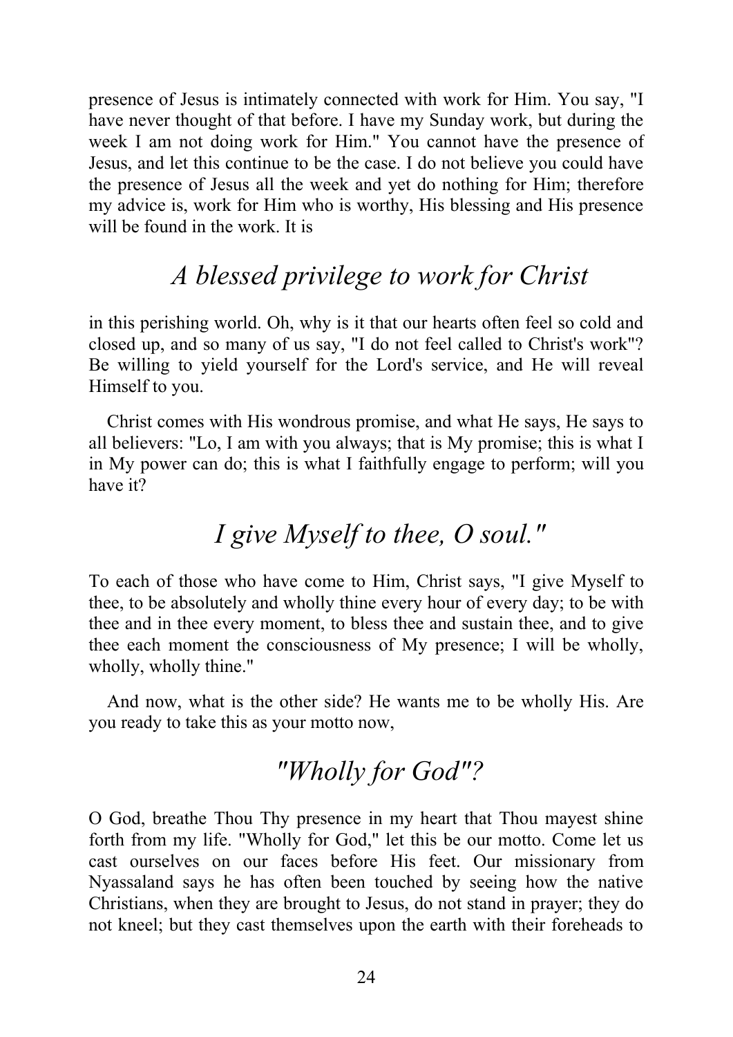presence of Jesus is intimately connected with work for Him. You say, "I have never thought of that before. I have my Sunday work, but during the week I am not doing work for Him." You cannot have the presence of Jesus, and let this continue to be the case. I do not believe you could have the presence of Jesus all the week and yet do nothing for Him; therefore my advice is, work for Him who is worthy, His blessing and His presence will be found in the work. It is

# *A blessed privilege to work for Christ*

in this perishing world. Oh, why is it that our hearts often feel so cold and closed up, and so many of us say, "I do not feel called to Christ's work"? Be willing to yield yourself for the Lord's service, and He will reveal Himself to you.

Christ comes with His wondrous promise, and what He says, He says to all believers: "Lo, I am with you always; that is My promise; this is what I in My power can do; this is what I faithfully engage to perform; will you have it?

# *I give Myself to thee, O soul."*

To each of those who have come to Him, Christ says, "I give Myself to thee, to be absolutely and wholly thine every hour of every day; to be with thee and in thee every moment, to bless thee and sustain thee, and to give thee each moment the consciousness of My presence; I will be wholly, wholly, wholly thine."

And now, what is the other side? He wants me to be wholly His. Are you ready to take this as your motto now,

# *"Wholly for God"?*

O God, breathe Thou Thy presence in my heart that Thou mayest shine forth from my life. "Wholly for God," let this be our motto. Come let us cast ourselves on our faces before His feet. Our missionary from Nyassaland says he has often been touched by seeing how the native Christians, when they are brought to Jesus, do not stand in prayer; they do not kneel; but they cast themselves upon the earth with their foreheads to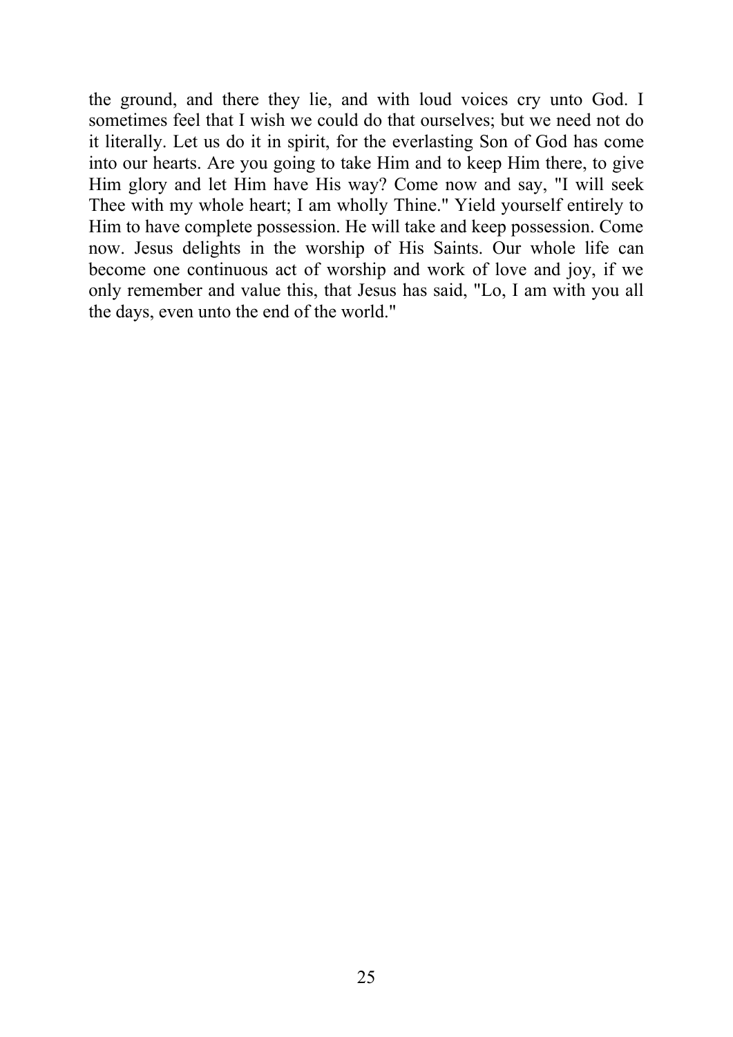the ground, and there they lie, and with loud voices cry unto God. I sometimes feel that I wish we could do that ourselves; but we need not do it literally. Let us do it in spirit, for the everlasting Son of God has come into our hearts. Are you going to take Him and to keep Him there, to give Him glory and let Him have His way? Come now and say, "I will seek Thee with my whole heart; I am wholly Thine." Yield yourself entirely to Him to have complete possession. He will take and keep possession. Come now. Jesus delights in the worship of His Saints. Our whole life can become one continuous act of worship and work of love and joy, if we only remember and value this, that Jesus has said, "Lo, I am with you all the days, even unto the end of the world."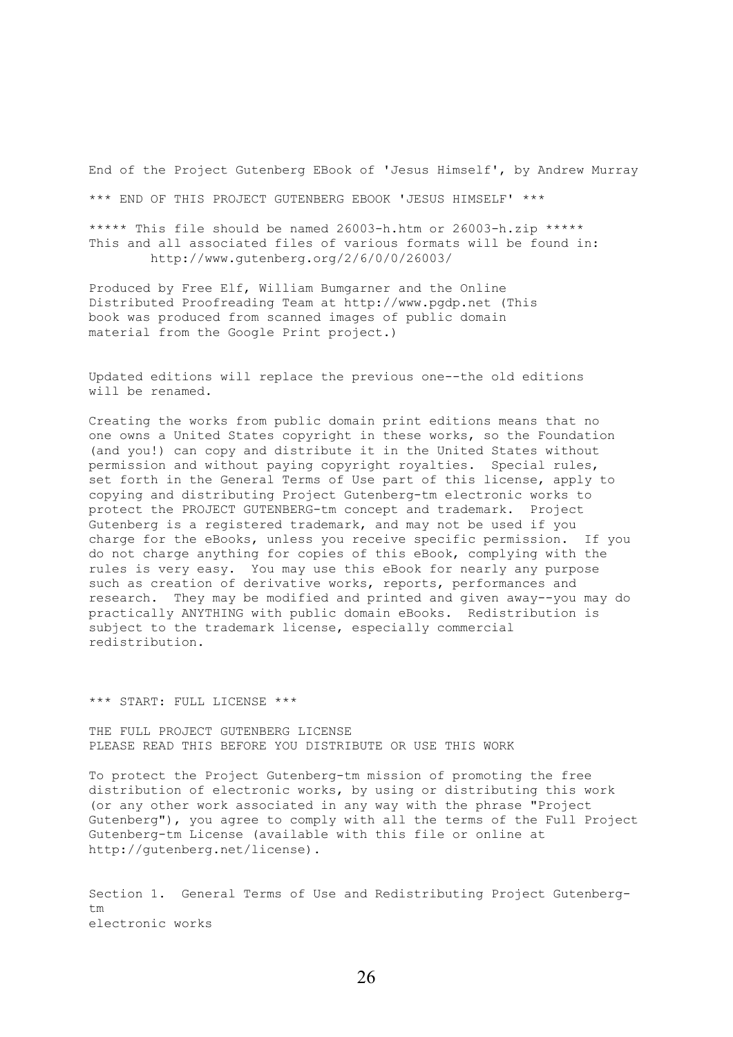End of the Project Gutenberg EBook of 'Jesus Himself', by Andrew Murray \*\*\* END OF THIS PROJECT GUTENBERG EBOOK 'JESUS HIMSELF' \*\*\*

\*\*\*\*\* This file should be named 26003-h.htm or 26003-h.zip \*\*\*\*\* This and all associated files of various formats will be found in: http://www.gutenberg.org/2/6/0/0/26003/

Produced by Free Elf, William Bumgarner and the Online Distributed Proofreading Team at http://www.pgdp.net (This book was produced from scanned images of public domain material from the Google Print project.)

Updated editions will replace the previous one--the old editions will be renamed.

Creating the works from public domain print editions means that no one owns a United States copyright in these works, so the Foundation (and you!) can copy and distribute it in the United States without permission and without paying copyright royalties. Special rules, set forth in the General Terms of Use part of this license, apply to copying and distributing Project Gutenberg-tm electronic works to protect the PROJECT GUTENBERG-tm concept and trademark. Project Gutenberg is a registered trademark, and may not be used if you charge for the eBooks, unless you receive specific permission. If you do not charge anything for copies of this eBook, complying with the rules is very easy. You may use this eBook for nearly any purpose such as creation of derivative works, reports, performances and research. They may be modified and printed and given away--you may do practically ANYTHING with public domain eBooks. Redistribution is subject to the trademark license, especially commercial redistribution.

\*\*\* START: FULL LICENSE \*\*\*

THE FULL PROJECT GUTENBERG LICENSE PLEASE READ THIS BEFORE YOU DISTRIBUTE OR USE THIS WORK

To protect the Project Gutenberg-tm mission of promoting the free distribution of electronic works, by using or distributing this work (or any other work associated in any way with the phrase "Project Gutenberg"), you agree to comply with all the terms of the Full Project Gutenberg-tm License (available with this file or online at http://gutenberg.net/license).

Section 1. General Terms of Use and Redistributing Project Gutenbergtm electronic works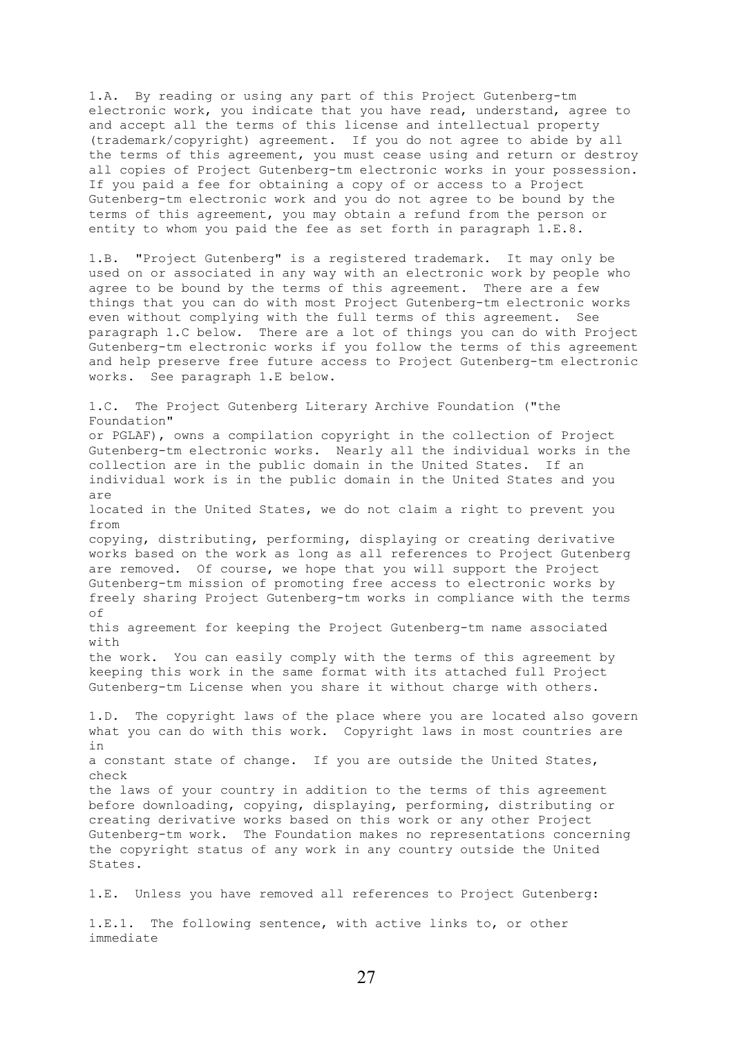1.A. By reading or using any part of this Project Gutenberg-tm electronic work, you indicate that you have read, understand, agree to and accept all the terms of this license and intellectual property (trademark/copyright) agreement. If you do not agree to abide by all the terms of this agreement, you must cease using and return or destroy all copies of Project Gutenberg-tm electronic works in your possession. If you paid a fee for obtaining a copy of or access to a Project Gutenberg-tm electronic work and you do not agree to be bound by the terms of this agreement, you may obtain a refund from the person or entity to whom you paid the fee as set forth in paragraph 1.E.8.

1.B. "Project Gutenberg" is a registered trademark. It may only be used on or associated in any way with an electronic work by people who agree to be bound by the terms of this agreement. There are a few things that you can do with most Project Gutenberg-tm electronic works even without complying with the full terms of this agreement. See paragraph 1.C below. There are a lot of things you can do with Project Gutenberg-tm electronic works if you follow the terms of this agreement and help preserve free future access to Project Gutenberg-tm electronic works. See paragraph 1.E below.

1.C. The Project Gutenberg Literary Archive Foundation ("the Foundation" or PGLAF), owns a compilation copyright in the collection of Project Gutenberg-tm electronic works. Nearly all the individual works in the collection are in the public domain in the United States. If an individual work is in the public domain in the United States and you are located in the United States, we do not claim a right to prevent you from copying, distributing, performing, displaying or creating derivative works based on the work as long as all references to Project Gutenberg are removed. Of course, we hope that you will support the Project Gutenberg-tm mission of promoting free access to electronic works by freely sharing Project Gutenberg-tm works in compliance with the terms of this agreement for keeping the Project Gutenberg-tm name associated with the work. You can easily comply with the terms of this agreement by keeping this work in the same format with its attached full Project Gutenberg-tm License when you share it without charge with others. 1.D. The copyright laws of the place where you are located also govern what you can do with this work. Copyright laws in most countries are in a constant state of change. If you are outside the United States, check the laws of your country in addition to the terms of this agreement before downloading, copying, displaying, performing, distributing or creating derivative works based on this work or any other Project Gutenberg-tm work. The Foundation makes no representations concerning the copyright status of any work in any country outside the United States.

1.E. Unless you have removed all references to Project Gutenberg:

1.E.1. The following sentence, with active links to, or other immediate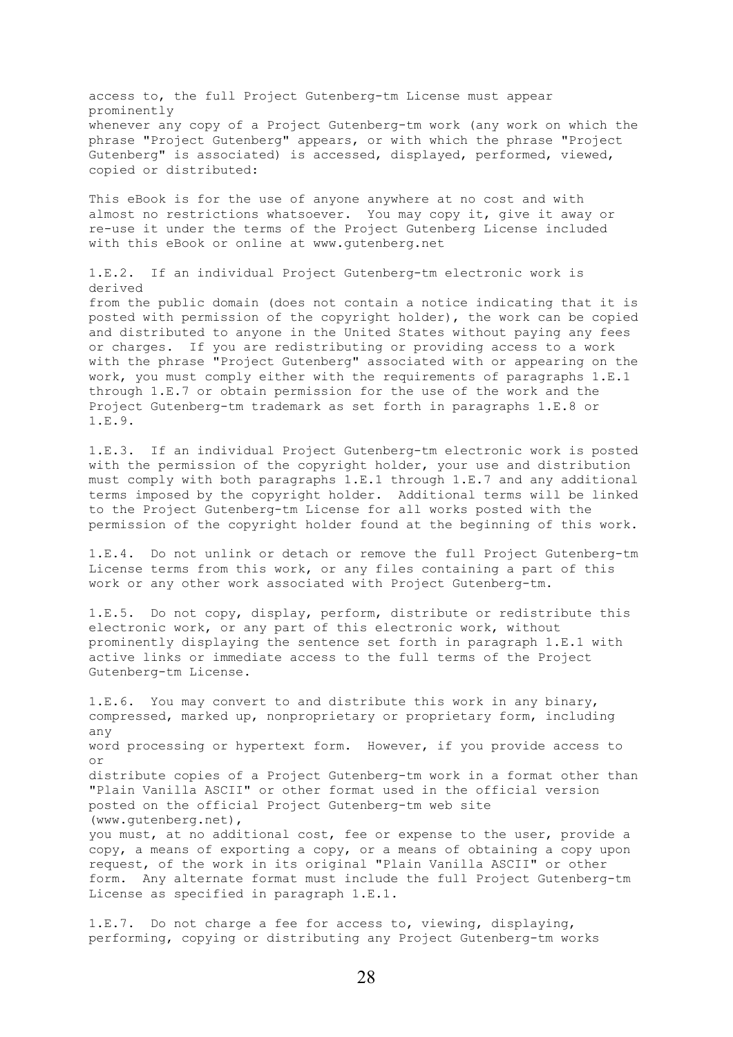access to, the full Project Gutenberg-tm License must appear prominently whenever any copy of a Project Gutenberg-tm work (any work on which the phrase "Project Gutenberg" appears, or with which the phrase "Project Gutenberg" is associated) is accessed, displayed, performed, viewed, copied or distributed:

This eBook is for the use of anyone anywhere at no cost and with almost no restrictions whatsoever. You may copy it, give it away or re-use it under the terms of the Project Gutenberg License included with this eBook or online at www.gutenberg.net

1.E.2. If an individual Project Gutenberg-tm electronic work is derived

from the public domain (does not contain a notice indicating that it is posted with permission of the copyright holder), the work can be copied and distributed to anyone in the United States without paying any fees or charges. If you are redistributing or providing access to a work with the phrase "Project Gutenberg" associated with or appearing on the work, you must comply either with the requirements of paragraphs 1.E.1 through 1.E.7 or obtain permission for the use of the work and the Project Gutenberg-tm trademark as set forth in paragraphs 1.E.8 or 1.E.9.

1.E.3. If an individual Project Gutenberg-tm electronic work is posted with the permission of the copyright holder, your use and distribution must comply with both paragraphs 1.E.1 through 1.E.7 and any additional terms imposed by the copyright holder. Additional terms will be linked to the Project Gutenberg-tm License for all works posted with the permission of the copyright holder found at the beginning of this work.

1.E.4. Do not unlink or detach or remove the full Project Gutenberg-tm License terms from this work, or any files containing a part of this work or any other work associated with Project Gutenberg-tm.

1.E.5. Do not copy, display, perform, distribute or redistribute this electronic work, or any part of this electronic work, without prominently displaying the sentence set forth in paragraph 1.E.1 with active links or immediate access to the full terms of the Project Gutenberg-tm License.

1.E.6. You may convert to and distribute this work in any binary, compressed, marked up, nonproprietary or proprietary form, including any word processing or hypertext form. However, if you provide access to or distribute copies of a Project Gutenberg-tm work in a format other than "Plain Vanilla ASCII" or other format used in the official version posted on the official Project Gutenberg-tm web site (www.gutenberg.net), you must, at no additional cost, fee or expense to the user, provide a copy, a means of exporting a copy, or a means of obtaining a copy upon request, of the work in its original "Plain Vanilla ASCII" or other form. Any alternate format must include the full Project Gutenberg-tm License as specified in paragraph 1.E.1.

1.E.7. Do not charge a fee for access to, viewing, displaying, performing, copying or distributing any Project Gutenberg-tm works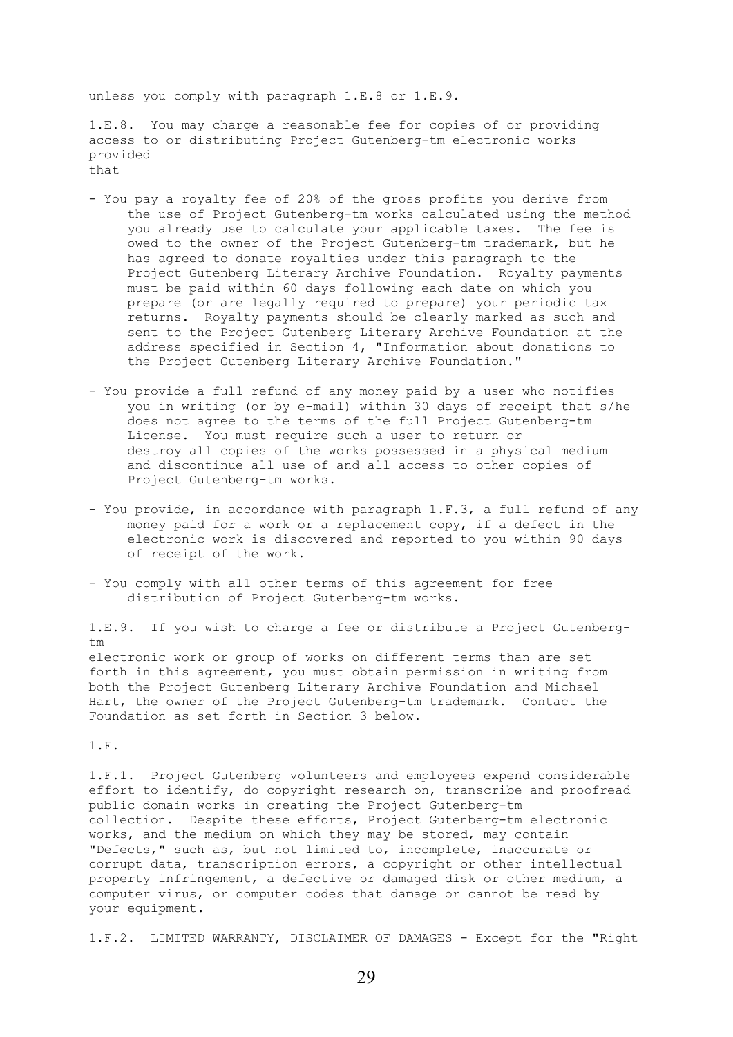unless you comply with paragraph 1.E.8 or 1.E.9.

1.E.8. You may charge a reasonable fee for copies of or providing access to or distributing Project Gutenberg-tm electronic works provided that

- You pay a royalty fee of 20% of the gross profits you derive from the use of Project Gutenberg-tm works calculated using the method you already use to calculate your applicable taxes. The fee is owed to the owner of the Project Gutenberg-tm trademark, but he has agreed to donate royalties under this paragraph to the Project Gutenberg Literary Archive Foundation. Royalty payments must be paid within 60 days following each date on which you prepare (or are legally required to prepare) your periodic tax returns. Royalty payments should be clearly marked as such and sent to the Project Gutenberg Literary Archive Foundation at the address specified in Section 4, "Information about donations to the Project Gutenberg Literary Archive Foundation."
- You provide a full refund of any money paid by a user who notifies you in writing (or by e-mail) within 30 days of receipt that s/he does not agree to the terms of the full Project Gutenberg-tm License. You must require such a user to return or destroy all copies of the works possessed in a physical medium and discontinue all use of and all access to other copies of Project Gutenberg-tm works.
- You provide, in accordance with paragraph 1.F.3, a full refund of any money paid for a work or a replacement copy, if a defect in the electronic work is discovered and reported to you within 90 days of receipt of the work.
- You comply with all other terms of this agreement for free distribution of Project Gutenberg-tm works.

1.E.9. If you wish to charge a fee or distribute a Project Gutenbergtm electronic work or group of works on different terms than are set forth in this agreement, you must obtain permission in writing from both the Project Gutenberg Literary Archive Foundation and Michael Hart, the owner of the Project Gutenberg-tm trademark. Contact the Foundation as set forth in Section 3 below.

1.F.

1.F.1. Project Gutenberg volunteers and employees expend considerable effort to identify, do copyright research on, transcribe and proofread public domain works in creating the Project Gutenberg-tm collection. Despite these efforts, Project Gutenberg-tm electronic works, and the medium on which they may be stored, may contain "Defects," such as, but not limited to, incomplete, inaccurate or corrupt data, transcription errors, a copyright or other intellectual property infringement, a defective or damaged disk or other medium, a computer virus, or computer codes that damage or cannot be read by your equipment.

1.F.2. LIMITED WARRANTY, DISCLAIMER OF DAMAGES - Except for the "Right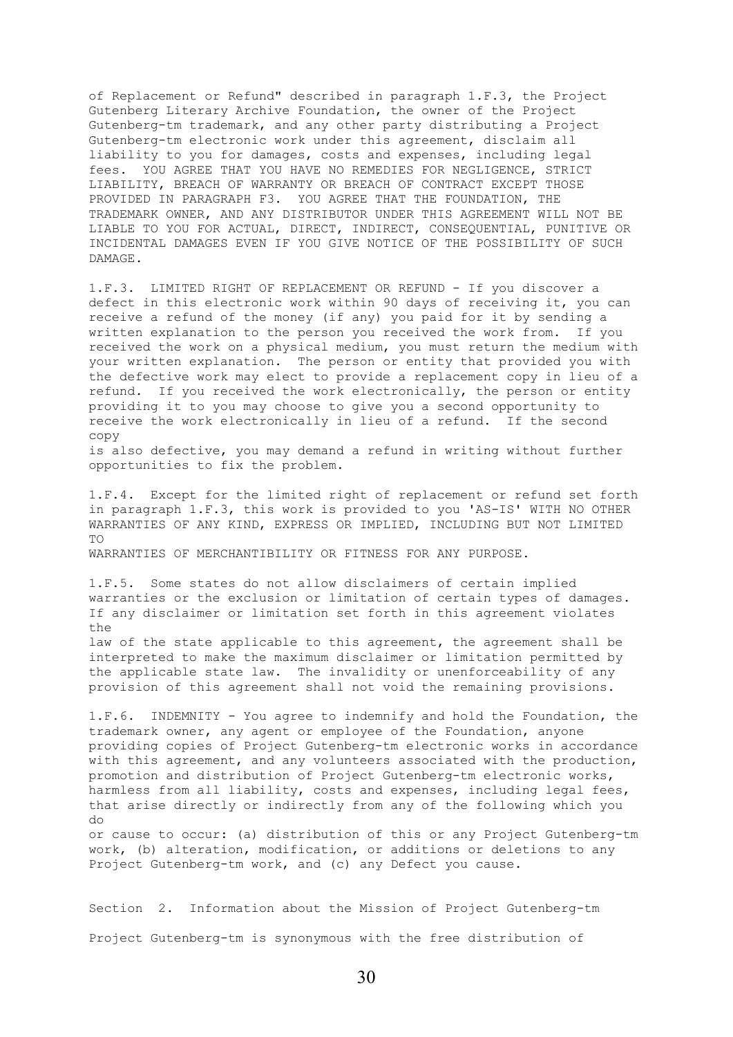of Replacement or Refund" described in paragraph 1.F.3, the Project Gutenberg Literary Archive Foundation, the owner of the Project Gutenberg-tm trademark, and any other party distributing a Project Gutenberg-tm electronic work under this agreement, disclaim all liability to you for damages, costs and expenses, including legal fees. YOU AGREE THAT YOU HAVE NO REMEDIES FOR NEGLIGENCE, STRICT LIABILITY, BREACH OF WARRANTY OR BREACH OF CONTRACT EXCEPT THOSE PROVIDED IN PARAGRAPH F3. YOU AGREE THAT THE FOUNDATION, THE TRADEMARK OWNER, AND ANY DISTRIBUTOR UNDER THIS AGREEMENT WILL NOT BE LIABLE TO YOU FOR ACTUAL, DIRECT, INDIRECT, CONSEQUENTIAL, PUNITIVE OR INCIDENTAL DAMAGES EVEN IF YOU GIVE NOTICE OF THE POSSIBILITY OF SUCH DAMAGE.

1.F.3. LIMITED RIGHT OF REPLACEMENT OR REFUND - If you discover a defect in this electronic work within 90 days of receiving it, you can receive a refund of the money (if any) you paid for it by sending a written explanation to the person you received the work from. If you received the work on a physical medium, you must return the medium with your written explanation. The person or entity that provided you with the defective work may elect to provide a replacement copy in lieu of a refund. If you received the work electronically, the person or entity providing it to you may choose to give you a second opportunity to receive the work electronically in lieu of a refund. If the second copy

is also defective, you may demand a refund in writing without further opportunities to fix the problem.

1.F.4. Except for the limited right of replacement or refund set forth in paragraph 1.F.3, this work is provided to you 'AS-IS' WITH NO OTHER WARRANTIES OF ANY KIND, EXPRESS OR IMPLIED, INCLUDING BUT NOT LIMITED TO

WARRANTIES OF MERCHANTIBILITY OR FITNESS FOR ANY PURPOSE.

1.F.5. Some states do not allow disclaimers of certain implied warranties or the exclusion or limitation of certain types of damages. If any disclaimer or limitation set forth in this agreement violates the law of the state applicable to this agreement, the agreement shall be

interpreted to make the maximum disclaimer or limitation permitted by the applicable state law. The invalidity or unenforceability of any provision of this agreement shall not void the remaining provisions.

1.F.6. INDEMNITY - You agree to indemnify and hold the Foundation, the trademark owner, any agent or employee of the Foundation, anyone providing copies of Project Gutenberg-tm electronic works in accordance with this agreement, and any volunteers associated with the production, promotion and distribution of Project Gutenberg-tm electronic works, harmless from all liability, costs and expenses, including legal fees, that arise directly or indirectly from any of the following which you do or cause to occur: (a) distribution of this or any Project Gutenberg-tm

work, (b) alteration, modification, or additions or deletions to any Project Gutenberg-tm work, and (c) any Defect you cause.

Section 2. Information about the Mission of Project Gutenberg-tm Project Gutenberg-tm is synonymous with the free distribution of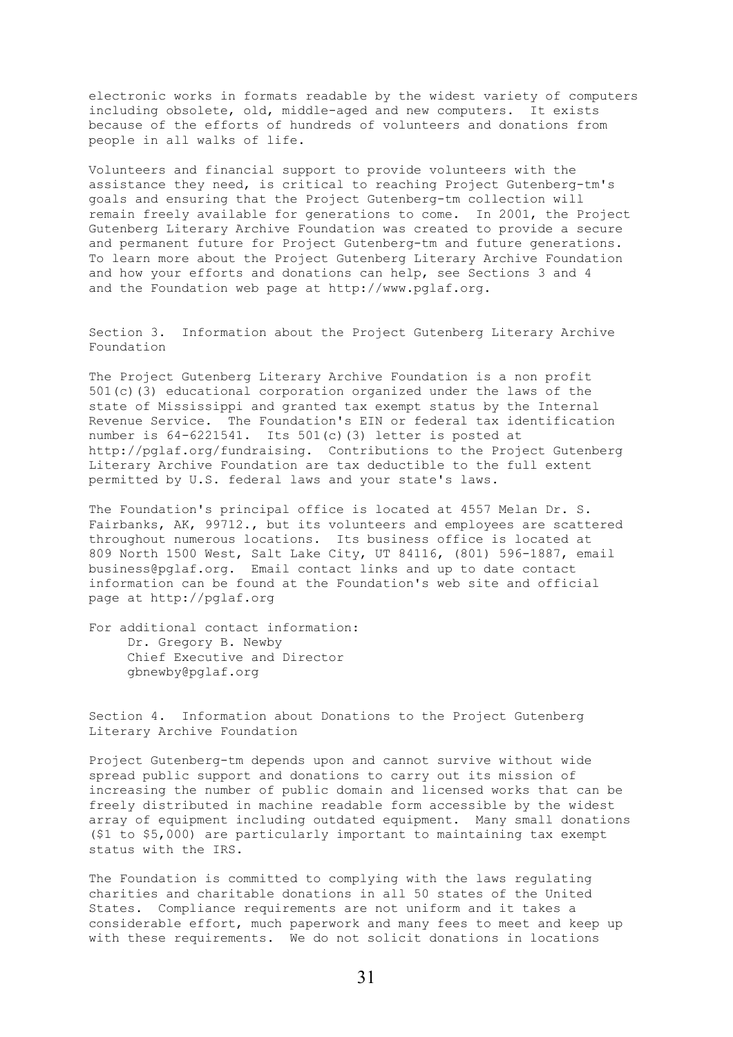electronic works in formats readable by the widest variety of computers including obsolete, old, middle-aged and new computers. It exists because of the efforts of hundreds of volunteers and donations from people in all walks of life.

Volunteers and financial support to provide volunteers with the assistance they need, is critical to reaching Project Gutenberg-tm's goals and ensuring that the Project Gutenberg-tm collection will remain freely available for generations to come. In 2001, the Project Gutenberg Literary Archive Foundation was created to provide a secure and permanent future for Project Gutenberg-tm and future generations. To learn more about the Project Gutenberg Literary Archive Foundation and how your efforts and donations can help, see Sections 3 and 4 and the Foundation web page at http://www.pglaf.org.

Section 3. Information about the Project Gutenberg Literary Archive Foundation

The Project Gutenberg Literary Archive Foundation is a non profit 501(c)(3) educational corporation organized under the laws of the state of Mississippi and granted tax exempt status by the Internal Revenue Service. The Foundation's EIN or federal tax identification number is 64-6221541. Its 501(c)(3) letter is posted at http://pglaf.org/fundraising. Contributions to the Project Gutenberg Literary Archive Foundation are tax deductible to the full extent permitted by U.S. federal laws and your state's laws.

The Foundation's principal office is located at 4557 Melan Dr. S. Fairbanks, AK, 99712., but its volunteers and employees are scattered throughout numerous locations. Its business office is located at 809 North 1500 West, Salt Lake City, UT 84116, (801) 596-1887, email business@pglaf.org. Email contact links and up to date contact information can be found at the Foundation's web site and official page at http://pglaf.org

For additional contact information: Dr. Gregory B. Newby Chief Executive and Director gbnewby@pglaf.org

Section 4. Information about Donations to the Project Gutenberg Literary Archive Foundation

Project Gutenberg-tm depends upon and cannot survive without wide spread public support and donations to carry out its mission of increasing the number of public domain and licensed works that can be freely distributed in machine readable form accessible by the widest array of equipment including outdated equipment. Many small donations (\$1 to \$5,000) are particularly important to maintaining tax exempt status with the IRS.

The Foundation is committed to complying with the laws regulating charities and charitable donations in all 50 states of the United States. Compliance requirements are not uniform and it takes a considerable effort, much paperwork and many fees to meet and keep up with these requirements. We do not solicit donations in locations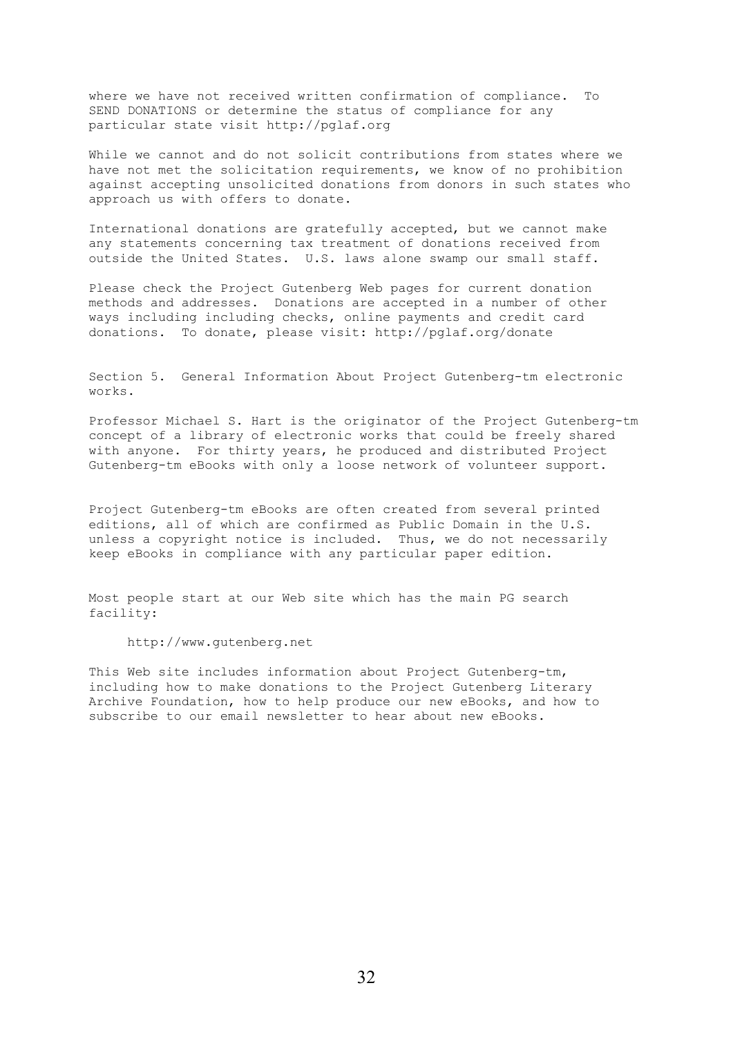where we have not received written confirmation of compliance. To SEND DONATIONS or determine the status of compliance for any particular state visit http://pglaf.org

While we cannot and do not solicit contributions from states where we have not met the solicitation requirements, we know of no prohibition against accepting unsolicited donations from donors in such states who approach us with offers to donate.

International donations are gratefully accepted, but we cannot make any statements concerning tax treatment of donations received from outside the United States. U.S. laws alone swamp our small staff.

Please check the Project Gutenberg Web pages for current donation methods and addresses. Donations are accepted in a number of other ways including including checks, online payments and credit card donations. To donate, please visit: http://pglaf.org/donate

Section 5. General Information About Project Gutenberg-tm electronic works.

Professor Michael S. Hart is the originator of the Project Gutenberg-tm concept of a library of electronic works that could be freely shared with anyone. For thirty years, he produced and distributed Project Gutenberg-tm eBooks with only a loose network of volunteer support.

Project Gutenberg-tm eBooks are often created from several printed editions, all of which are confirmed as Public Domain in the U.S. unless a copyright notice is included. Thus, we do not necessarily keep eBooks in compliance with any particular paper edition.

Most people start at our Web site which has the main PG search facility:

http://www.gutenberg.net

This Web site includes information about Project Gutenberg-tm, including how to make donations to the Project Gutenberg Literary Archive Foundation, how to help produce our new eBooks, and how to subscribe to our email newsletter to hear about new eBooks.